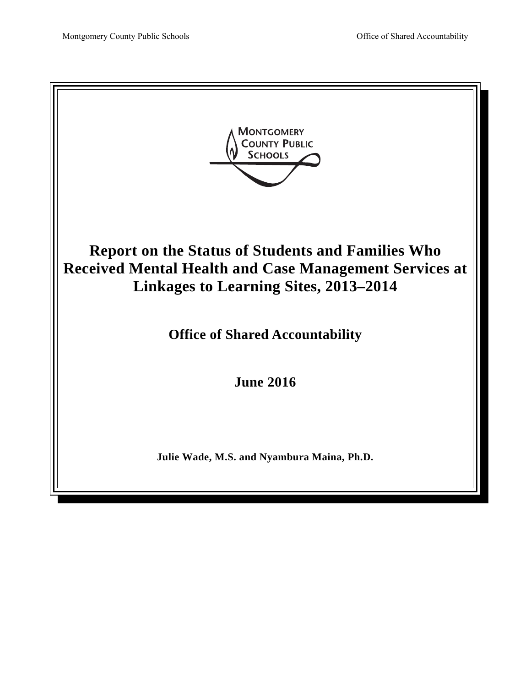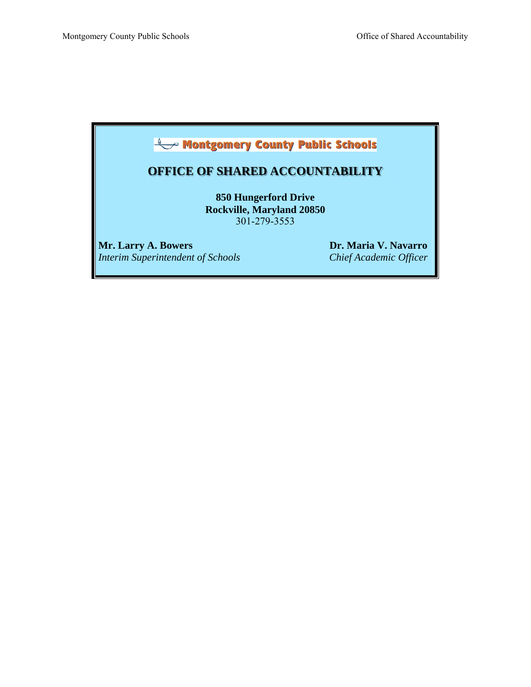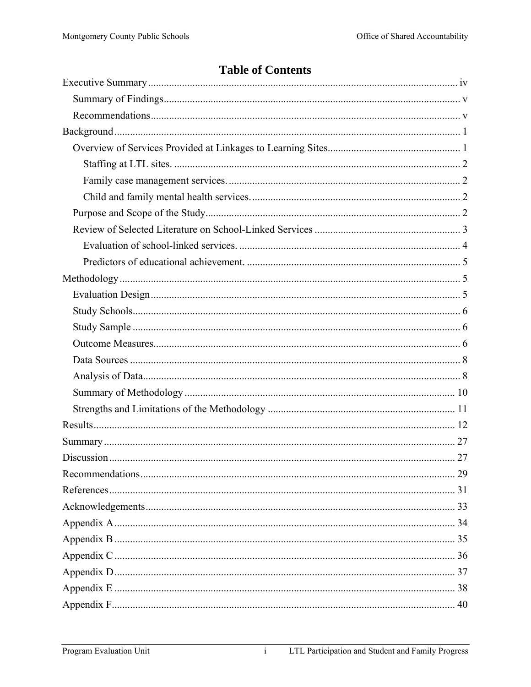# **Table of Contents**

 $\overline{i}$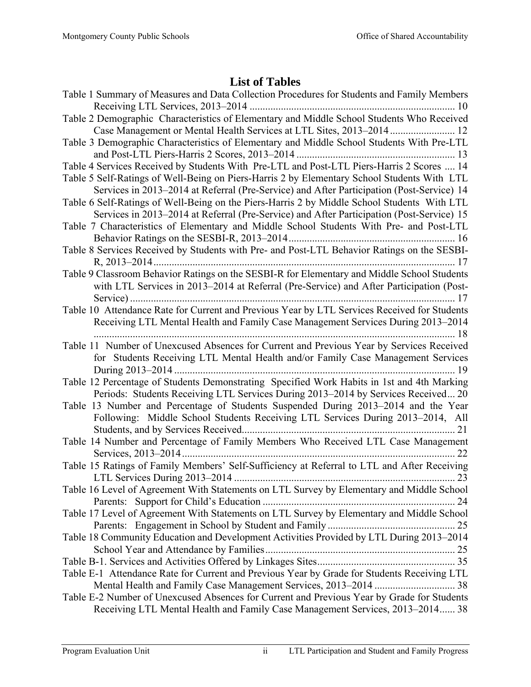# **List of Tables**

| Table 1 Summary of Measures and Data Collection Procedures for Students and Family Members                                                                                               |
|------------------------------------------------------------------------------------------------------------------------------------------------------------------------------------------|
| Table 2 Demographic Characteristics of Elementary and Middle School Students Who Received                                                                                                |
| Table 3 Demographic Characteristics of Elementary and Middle School Students With Pre-LTL                                                                                                |
| Table 4 Services Received by Students With Pre-LTL and Post-LTL Piers-Harris 2 Scores  14                                                                                                |
| Table 5 Self-Ratings of Well-Being on Piers-Harris 2 by Elementary School Students With LTL                                                                                              |
| Services in 2013–2014 at Referral (Pre-Service) and After Participation (Post-Service) 14                                                                                                |
| Table 6 Self-Ratings of Well-Being on the Piers-Harris 2 by Middle School Students With LTL<br>Services in 2013–2014 at Referral (Pre-Service) and After Participation (Post-Service) 15 |
| Table 7 Characteristics of Elementary and Middle School Students With Pre- and Post-LTL                                                                                                  |
|                                                                                                                                                                                          |
| Table 8 Services Received by Students with Pre- and Post-LTL Behavior Ratings on the SESBI-                                                                                              |
|                                                                                                                                                                                          |
| Table 9 Classroom Behavior Ratings on the SESBI-R for Elementary and Middle School Students                                                                                              |
| with LTL Services in 2013-2014 at Referral (Pre-Service) and After Participation (Post-                                                                                                  |
|                                                                                                                                                                                          |
| Table 10 Attendance Rate for Current and Previous Year by LTL Services Received for Students                                                                                             |
| Receiving LTL Mental Health and Family Case Management Services During 2013-2014                                                                                                         |
| Table 11 Number of Unexcused Absences for Current and Previous Year by Services Received                                                                                                 |
| for Students Receiving LTL Mental Health and/or Family Case Management Services                                                                                                          |
|                                                                                                                                                                                          |
| Table 12 Percentage of Students Demonstrating Specified Work Habits in 1st and 4th Marking                                                                                               |
| Periods: Students Receiving LTL Services During 2013-2014 by Services Received 20                                                                                                        |
| Table 13 Number and Percentage of Students Suspended During 2013–2014 and the Year                                                                                                       |
| Following: Middle School Students Receiving LTL Services During 2013-2014, All                                                                                                           |
|                                                                                                                                                                                          |
|                                                                                                                                                                                          |
| Table 14 Number and Percentage of Family Members Who Received LTL Case Management                                                                                                        |
|                                                                                                                                                                                          |
| Table 15 Ratings of Family Members' Self-Sufficiency at Referral to LTL and After Receiving                                                                                              |
|                                                                                                                                                                                          |
| Table 16 Level of Agreement With Statements on LTL Survey by Elementary and Middle School                                                                                                |
|                                                                                                                                                                                          |
| Table 17 Level of Agreement With Statements on LTL Survey by Elementary and Middle School                                                                                                |
|                                                                                                                                                                                          |
| Table 18 Community Education and Development Activities Provided by LTL During 2013-2014                                                                                                 |
|                                                                                                                                                                                          |
| Table E-1 Attendance Rate for Current and Previous Year by Grade for Students Receiving LTL                                                                                              |
|                                                                                                                                                                                          |
| Table E-2 Number of Unexcused Absences for Current and Previous Year by Grade for Students<br>Receiving LTL Mental Health and Family Case Management Services, 2013-2014 38              |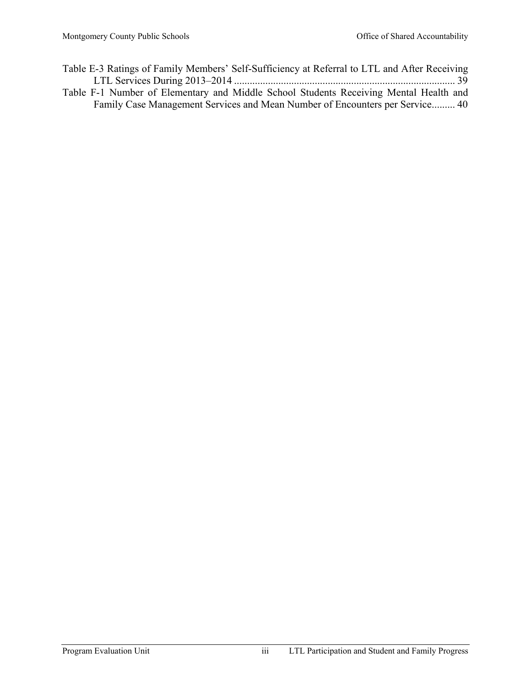- Table E-3 Ratings of Family Members' Self-Sufficiency at Referral to LTL and After Receiving LTL Services During 2013–2014 ..................................................................................... 39
- Table F-1 Number of Elementary and Middle School Students Receiving Mental Health and Family Case Management Services and Mean Number of Encounters per Service ......... 40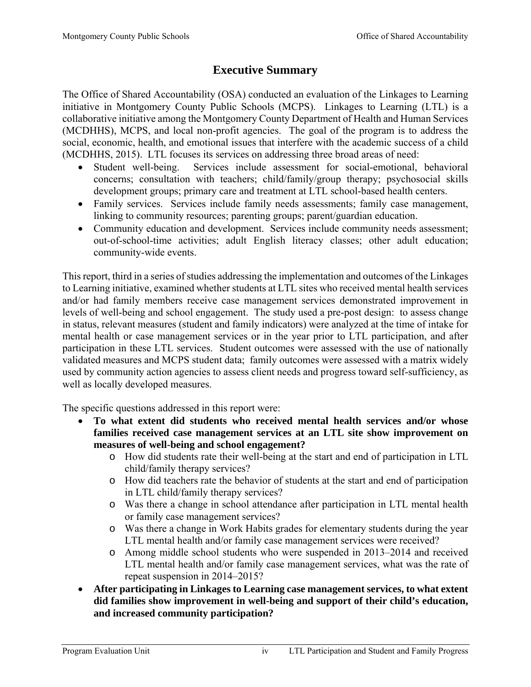# **Executive Summary**

The Office of Shared Accountability (OSA) conducted an evaluation of the Linkages to Learning initiative in Montgomery County Public Schools (MCPS). Linkages to Learning (LTL) is a collaborative initiative among the Montgomery County Department of Health and Human Services (MCDHHS), MCPS, and local non-profit agencies. The goal of the program is to address the social, economic, health, and emotional issues that interfere with the academic success of a child (MCDHHS, 2015). LTL focuses its services on addressing three broad areas of need:

- Student well-being. Services include assessment for social-emotional, behavioral concerns; consultation with teachers; child/family/group therapy; psychosocial skills development groups; primary care and treatment at LTL school-based health centers.
- Family services. Services include family needs assessments; family case management, linking to community resources; parenting groups; parent/guardian education.
- Community education and development. Services include community needs assessment; out-of-school-time activities; adult English literacy classes; other adult education; community-wide events.

This report, third in a series of studies addressing the implementation and outcomes of the Linkages to Learning initiative, examined whether students at LTL sites who received mental health services and/or had family members receive case management services demonstrated improvement in levels of well-being and school engagement. The study used a pre-post design: to assess change in status, relevant measures (student and family indicators) were analyzed at the time of intake for mental health or case management services or in the year prior to LTL participation, and after participation in these LTL services. Student outcomes were assessed with the use of nationally validated measures and MCPS student data; family outcomes were assessed with a matrix widely used by community action agencies to assess client needs and progress toward self-sufficiency, as well as locally developed measures.

The specific questions addressed in this report were:

- **To what extent did students who received mental health services and/or whose families received case management services at an LTL site show improvement on measures of well-being and school engagement?** 
	- o How did students rate their well-being at the start and end of participation in LTL child/family therapy services?
	- o How did teachers rate the behavior of students at the start and end of participation in LTL child/family therapy services?
	- o Was there a change in school attendance after participation in LTL mental health or family case management services?
	- o Was there a change in Work Habits grades for elementary students during the year LTL mental health and/or family case management services were received?
	- o Among middle school students who were suspended in 2013–2014 and received LTL mental health and/or family case management services, what was the rate of repeat suspension in 2014–2015?
- **After participating in Linkages to Learning case management services, to what extent did families show improvement in well-being and support of their child's education, and increased community participation?**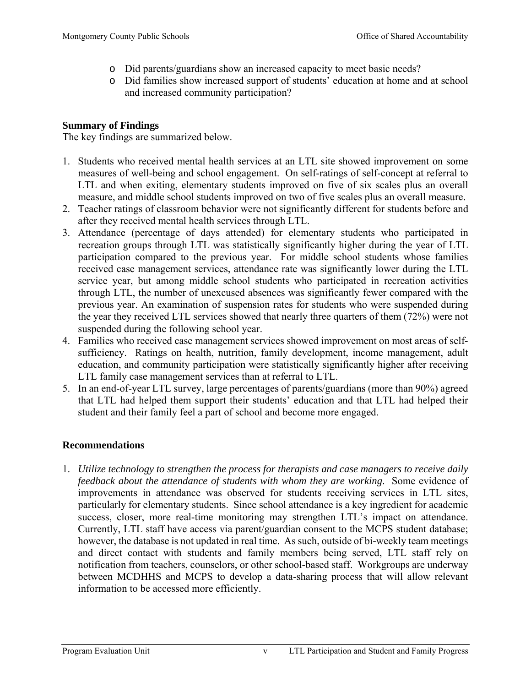- o Did parents/guardians show an increased capacity to meet basic needs?
- o Did families show increased support of students' education at home and at school and increased community participation?

# **Summary of Findings**

The key findings are summarized below.

- 1. Students who received mental health services at an LTL site showed improvement on some measures of well-being and school engagement. On self-ratings of self-concept at referral to LTL and when exiting, elementary students improved on five of six scales plus an overall measure, and middle school students improved on two of five scales plus an overall measure.
- 2. Teacher ratings of classroom behavior were not significantly different for students before and after they received mental health services through LTL.
- 3. Attendance (percentage of days attended) for elementary students who participated in recreation groups through LTL was statistically significantly higher during the year of LTL participation compared to the previous year. For middle school students whose families received case management services, attendance rate was significantly lower during the LTL service year, but among middle school students who participated in recreation activities through LTL, the number of unexcused absences was significantly fewer compared with the previous year. An examination of suspension rates for students who were suspended during the year they received LTL services showed that nearly three quarters of them (72%) were not suspended during the following school year.
- 4. Families who received case management services showed improvement on most areas of selfsufficiency. Ratings on health, nutrition, family development, income management, adult education, and community participation were statistically significantly higher after receiving LTL family case management services than at referral to LTL.
- 5. In an end-of-year LTL survey, large percentages of parents/guardians (more than 90%) agreed that LTL had helped them support their students' education and that LTL had helped their student and their family feel a part of school and become more engaged.

# **Recommendations**

1. *Utilize technology to strengthen the process for therapists and case managers to receive daily feedback about the attendance of students with whom they are working*. Some evidence of improvements in attendance was observed for students receiving services in LTL sites, particularly for elementary students. Since school attendance is a key ingredient for academic success, closer, more real-time monitoring may strengthen LTL's impact on attendance. Currently, LTL staff have access via parent/guardian consent to the MCPS student database; however, the database is not updated in real time. As such, outside of bi-weekly team meetings and direct contact with students and family members being served, LTL staff rely on notification from teachers, counselors, or other school-based staff. Workgroups are underway between MCDHHS and MCPS to develop a data-sharing process that will allow relevant information to be accessed more efficiently.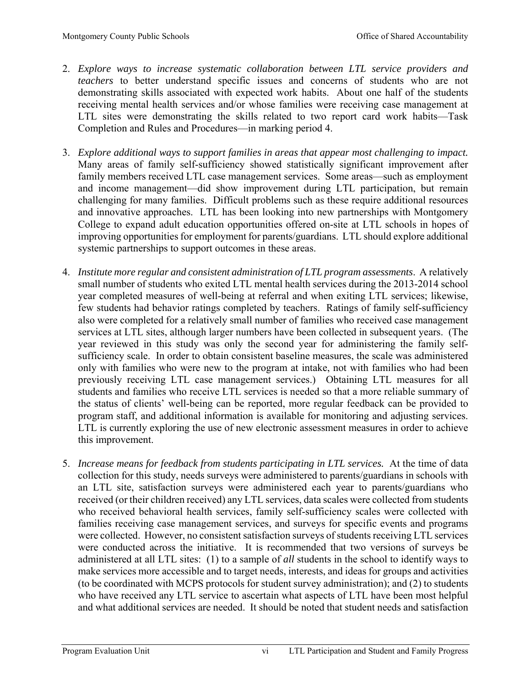- 2. *Explore ways to increase systematic collaboration between LTL service providers and teachers* to better understand specific issues and concerns of students who are not demonstrating skills associated with expected work habits. About one half of the students receiving mental health services and/or whose families were receiving case management at LTL sites were demonstrating the skills related to two report card work habits—Task Completion and Rules and Procedures—in marking period 4.
- 3. *Explore additional ways to support families in areas that appear most challenging to impact.* Many areas of family self-sufficiency showed statistically significant improvement after family members received LTL case management services. Some areas—such as employment and income management—did show improvement during LTL participation, but remain challenging for many families. Difficult problems such as these require additional resources and innovative approaches. LTL has been looking into new partnerships with Montgomery College to expand adult education opportunities offered on-site at LTL schools in hopes of improving opportunities for employment for parents/guardians. LTL should explore additional systemic partnerships to support outcomes in these areas.
- 4. *Institute more regular and consistent administration of LTL program assessments*. A relatively small number of students who exited LTL mental health services during the 2013-2014 school year completed measures of well-being at referral and when exiting LTL services; likewise, few students had behavior ratings completed by teachers. Ratings of family self-sufficiency also were completed for a relatively small number of families who received case management services at LTL sites, although larger numbers have been collected in subsequent years. (The year reviewed in this study was only the second year for administering the family selfsufficiency scale. In order to obtain consistent baseline measures, the scale was administered only with families who were new to the program at intake, not with families who had been previously receiving LTL case management services.) Obtaining LTL measures for all students and families who receive LTL services is needed so that a more reliable summary of the status of clients' well-being can be reported, more regular feedback can be provided to program staff, and additional information is available for monitoring and adjusting services. LTL is currently exploring the use of new electronic assessment measures in order to achieve this improvement.
- 5. *Increase means for feedback from students participating in LTL services.* At the time of data collection for this study, needs surveys were administered to parents/guardians in schools with an LTL site, satisfaction surveys were administered each year to parents/guardians who received (or their children received) any LTL services, data scales were collected from students who received behavioral health services, family self-sufficiency scales were collected with families receiving case management services, and surveys for specific events and programs were collected. However, no consistent satisfaction surveys of students receiving LTL services were conducted across the initiative. It is recommended that two versions of surveys be administered at all LTL sites: (1) to a sample of *all* students in the school to identify ways to make services more accessible and to target needs, interests, and ideas for groups and activities (to be coordinated with MCPS protocols for student survey administration); and (2) to students who have received any LTL service to ascertain what aspects of LTL have been most helpful and what additional services are needed. It should be noted that student needs and satisfaction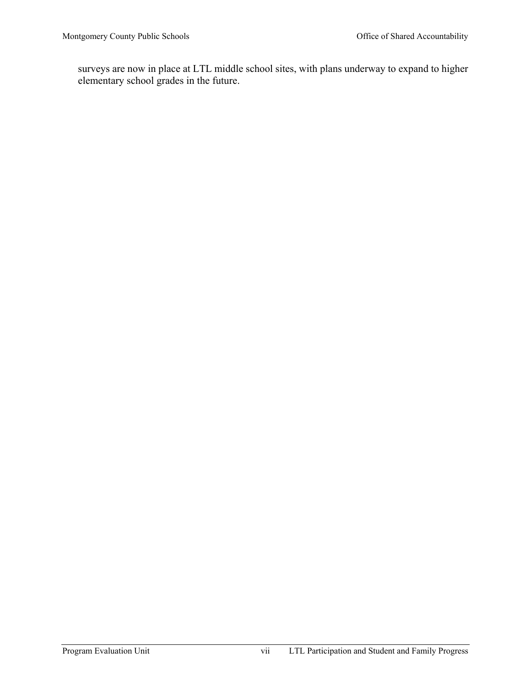surveys are now in place at LTL middle school sites, with plans underway to expand to higher elementary school grades in the future.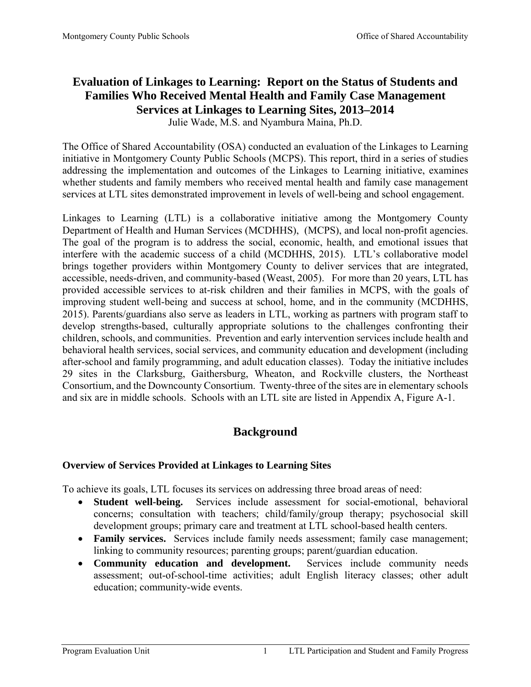# **Evaluation of Linkages to Learning: Report on the Status of Students and Families Who Received Mental Health and Family Case Management Services at Linkages to Learning Sites, 2013–2014**

Julie Wade, M.S. and Nyambura Maina, Ph.D.

The Office of Shared Accountability (OSA) conducted an evaluation of the Linkages to Learning initiative in Montgomery County Public Schools (MCPS). This report, third in a series of studies addressing the implementation and outcomes of the Linkages to Learning initiative, examines whether students and family members who received mental health and family case management services at LTL sites demonstrated improvement in levels of well-being and school engagement.

Linkages to Learning (LTL) is a collaborative initiative among the Montgomery County Department of Health and Human Services (MCDHHS), (MCPS), and local non-profit agencies. The goal of the program is to address the social, economic, health, and emotional issues that interfere with the academic success of a child (MCDHHS, 2015). LTL's collaborative model brings together providers within Montgomery County to deliver services that are integrated, accessible, needs-driven, and community-based (Weast, 2005). For more than 20 years, LTL has provided accessible services to at-risk children and their families in MCPS, with the goals of improving student well-being and success at school, home, and in the community (MCDHHS, 2015). Parents/guardians also serve as leaders in LTL, working as partners with program staff to develop strengths-based, culturally appropriate solutions to the challenges confronting their children, schools, and communities. Prevention and early intervention services include health and behavioral health services, social services, and community education and development (including after-school and family programming, and adult education classes). Today the initiative includes 29 sites in the Clarksburg, Gaithersburg, Wheaton, and Rockville clusters, the Northeast Consortium, and the Downcounty Consortium. Twenty-three of the sites are in elementary schools and six are in middle schools. Schools with an LTL site are listed in Appendix A, Figure A-1.

# **Background**

# **Overview of Services Provided at Linkages to Learning Sites**

To achieve its goals, LTL focuses its services on addressing three broad areas of need:

- **Student well-being.** Services include assessment for social-emotional, behavioral concerns; consultation with teachers; child/family/group therapy; psychosocial skill development groups; primary care and treatment at LTL school-based health centers.
- **Family services.** Services include family needs assessment; family case management; linking to community resources; parenting groups; parent/guardian education.
- **Community education and development.** Services include community needs assessment; out-of-school-time activities; adult English literacy classes; other adult education; community-wide events.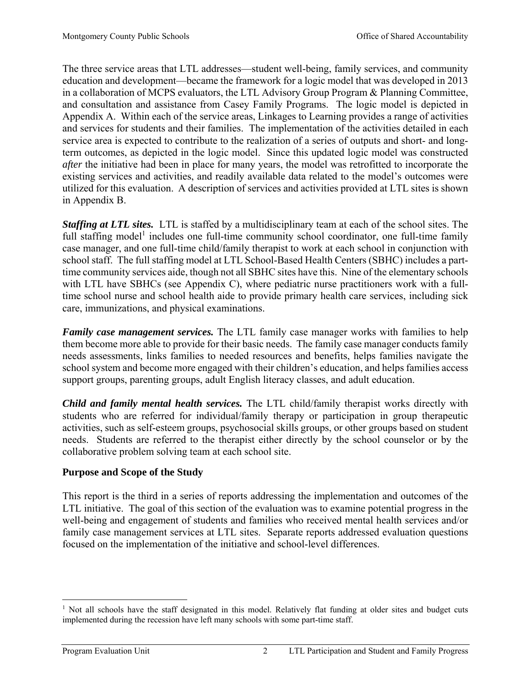The three service areas that LTL addresses—student well-being, family services, and community education and development—became the framework for a logic model that was developed in 2013 in a collaboration of MCPS evaluators, the LTL Advisory Group Program & Planning Committee, and consultation and assistance from Casey Family Programs. The logic model is depicted in Appendix A. Within each of the service areas, Linkages to Learning provides a range of activities and services for students and their families. The implementation of the activities detailed in each service area is expected to contribute to the realization of a series of outputs and short- and longterm outcomes, as depicted in the logic model. Since this updated logic model was constructed *after* the initiative had been in place for many years, the model was retrofitted to incorporate the existing services and activities, and readily available data related to the model's outcomes were utilized for this evaluation. A description of services and activities provided at LTL sites is shown in Appendix B.

*Staffing at LTL sites.* LTL is staffed by a multidisciplinary team at each of the school sites. The full staffing model<sup>1</sup> includes one full-time community school coordinator, one full-time family case manager, and one full-time child/family therapist to work at each school in conjunction with school staff. The full staffing model at LTL School-Based Health Centers (SBHC) includes a parttime community services aide, though not all SBHC sites have this. Nine of the elementary schools with LTL have SBHCs (see Appendix C), where pediatric nurse practitioners work with a fulltime school nurse and school health aide to provide primary health care services, including sick care, immunizations, and physical examinations.

*Family case management services.* The LTL family case manager works with families to help them become more able to provide for their basic needs. The family case manager conducts family needs assessments, links families to needed resources and benefits, helps families navigate the school system and become more engaged with their children's education, and helps families access support groups, parenting groups, adult English literacy classes, and adult education.

*Child and family mental health services.* The LTL child/family therapist works directly with students who are referred for individual/family therapy or participation in group therapeutic activities, such as self-esteem groups, psychosocial skills groups, or other groups based on student needs. Students are referred to the therapist either directly by the school counselor or by the collaborative problem solving team at each school site.

# **Purpose and Scope of the Study**

This report is the third in a series of reports addressing the implementation and outcomes of the LTL initiative. The goal of this section of the evaluation was to examine potential progress in the well-being and engagement of students and families who received mental health services and/or family case management services at LTL sites. Separate reports addressed evaluation questions focused on the implementation of the initiative and school-level differences.

 $\overline{a}$ <sup>1</sup> Not all schools have the staff designated in this model. Relatively flat funding at older sites and budget cuts implemented during the recession have left many schools with some part-time staff.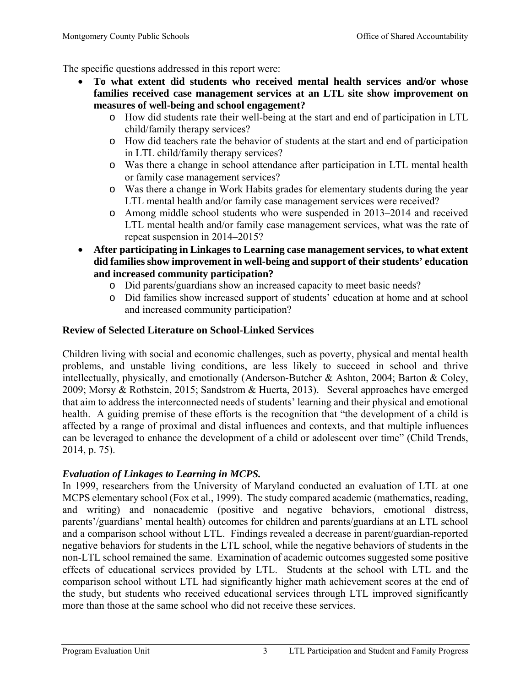The specific questions addressed in this report were:

- **To what extent did students who received mental health services and/or whose families received case management services at an LTL site show improvement on measures of well-being and school engagement?** 
	- o How did students rate their well-being at the start and end of participation in LTL child/family therapy services?
	- o How did teachers rate the behavior of students at the start and end of participation in LTL child/family therapy services?
	- o Was there a change in school attendance after participation in LTL mental health or family case management services?
	- o Was there a change in Work Habits grades for elementary students during the year LTL mental health and/or family case management services were received?
	- o Among middle school students who were suspended in 2013–2014 and received LTL mental health and/or family case management services, what was the rate of repeat suspension in 2014–2015?
- **After participating in Linkages to Learning case management services, to what extent did families show improvement in well-being and support of their students' education and increased community participation?** 
	- o Did parents/guardians show an increased capacity to meet basic needs?
	- o Did families show increased support of students' education at home and at school and increased community participation?

# **Review of Selected Literature on School-Linked Services**

Children living with social and economic challenges, such as poverty, physical and mental health problems, and unstable living conditions, are less likely to succeed in school and thrive intellectually, physically, and emotionally (Anderson-Butcher & Ashton, 2004; Barton & Coley, 2009; Morsy & Rothstein, 2015; Sandstrom & Huerta, 2013). Several approaches have emerged that aim to address the interconnected needs of students' learning and their physical and emotional health. A guiding premise of these efforts is the recognition that "the development of a child is affected by a range of proximal and distal influences and contexts, and that multiple influences can be leveraged to enhance the development of a child or adolescent over time" (Child Trends, 2014, p. 75).

# *Evaluation of Linkages to Learning in MCPS.*

In 1999, researchers from the University of Maryland conducted an evaluation of LTL at one MCPS elementary school (Fox et al., 1999). The study compared academic (mathematics, reading, and writing) and nonacademic (positive and negative behaviors, emotional distress, parents'/guardians' mental health) outcomes for children and parents/guardians at an LTL school and a comparison school without LTL. Findings revealed a decrease in parent/guardian-reported negative behaviors for students in the LTL school, while the negative behaviors of students in the non-LTL school remained the same. Examination of academic outcomes suggested some positive effects of educational services provided by LTL. Students at the school with LTL and the comparison school without LTL had significantly higher math achievement scores at the end of the study, but students who received educational services through LTL improved significantly more than those at the same school who did not receive these services.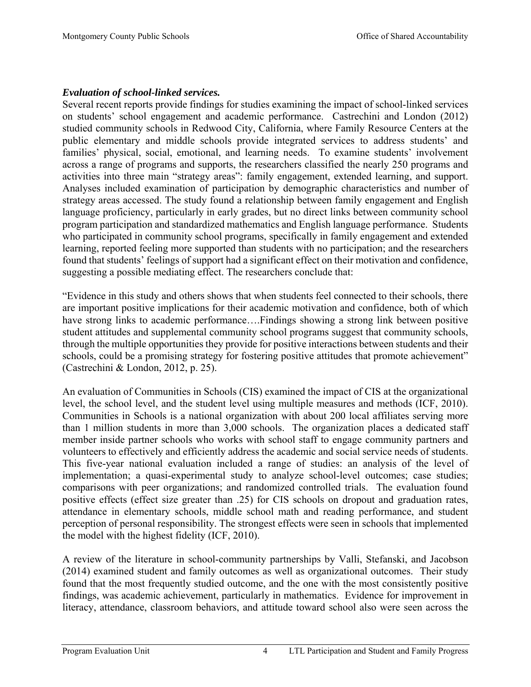# *Evaluation of school-linked services.*

Several recent reports provide findings for studies examining the impact of school-linked services on students' school engagement and academic performance. Castrechini and London (2012) studied community schools in Redwood City, California, where Family Resource Centers at the public elementary and middle schools provide integrated services to address students' and families' physical, social, emotional, and learning needs. To examine students' involvement across a range of programs and supports, the researchers classified the nearly 250 programs and activities into three main "strategy areas": family engagement, extended learning, and support. Analyses included examination of participation by demographic characteristics and number of strategy areas accessed. The study found a relationship between family engagement and English language proficiency, particularly in early grades, but no direct links between community school program participation and standardized mathematics and English language performance. Students who participated in community school programs, specifically in family engagement and extended learning, reported feeling more supported than students with no participation; and the researchers found that students' feelings of support had a significant effect on their motivation and confidence, suggesting a possible mediating effect. The researchers conclude that:

"Evidence in this study and others shows that when students feel connected to their schools, there are important positive implications for their academic motivation and confidence, both of which have strong links to academic performance....Findings showing a strong link between positive student attitudes and supplemental community school programs suggest that community schools, through the multiple opportunities they provide for positive interactions between students and their schools, could be a promising strategy for fostering positive attitudes that promote achievement" (Castrechini & London, 2012, p. 25).

An evaluation of Communities in Schools (CIS) examined the impact of CIS at the organizational level, the school level, and the student level using multiple measures and methods (ICF, 2010). Communities in Schools is a national organization with about 200 local affiliates serving more than 1 million students in more than 3,000 schools. The organization places a dedicated staff member inside partner schools who works with school staff to engage community partners and volunteers to effectively and efficiently address the academic and social service needs of students. This five-year national evaluation included a range of studies: an analysis of the level of implementation; a quasi-experimental study to analyze school-level outcomes; case studies; comparisons with peer organizations; and randomized controlled trials. The evaluation found positive effects (effect size greater than .25) for CIS schools on dropout and graduation rates, attendance in elementary schools, middle school math and reading performance, and student perception of personal responsibility. The strongest effects were seen in schools that implemented the model with the highest fidelity (ICF, 2010).

A review of the literature in school-community partnerships by Valli, Stefanski, and Jacobson (2014) examined student and family outcomes as well as organizational outcomes. Their study found that the most frequently studied outcome, and the one with the most consistently positive findings, was academic achievement, particularly in mathematics. Evidence for improvement in literacy, attendance, classroom behaviors, and attitude toward school also were seen across the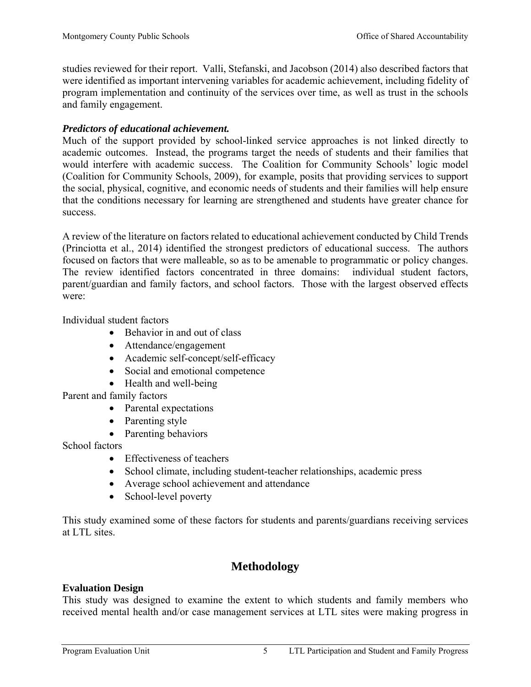studies reviewed for their report. Valli, Stefanski, and Jacobson (2014) also described factors that were identified as important intervening variables for academic achievement, including fidelity of program implementation and continuity of the services over time, as well as trust in the schools and family engagement.

## *Predictors of educational achievement.*

Much of the support provided by school-linked service approaches is not linked directly to academic outcomes. Instead, the programs target the needs of students and their families that would interfere with academic success. The Coalition for Community Schools' logic model (Coalition for Community Schools, 2009), for example, posits that providing services to support the social, physical, cognitive, and economic needs of students and their families will help ensure that the conditions necessary for learning are strengthened and students have greater chance for success.

A review of the literature on factors related to educational achievement conducted by Child Trends (Princiotta et al., 2014) identified the strongest predictors of educational success. The authors focused on factors that were malleable, so as to be amenable to programmatic or policy changes. The review identified factors concentrated in three domains: individual student factors, parent/guardian and family factors, and school factors. Those with the largest observed effects were:

Individual student factors

- Behavior in and out of class
- Attendance/engagement
- Academic self-concept/self-efficacy
- Social and emotional competence
- Health and well-being

Parent and family factors

- Parental expectations
- Parenting style
- Parenting behaviors

School factors

- Effectiveness of teachers
- School climate, including student-teacher relationships, academic press
- Average school achievement and attendance
- School-level poverty

This study examined some of these factors for students and parents/guardians receiving services at LTL sites.

# **Methodology**

## **Evaluation Design**

This study was designed to examine the extent to which students and family members who received mental health and/or case management services at LTL sites were making progress in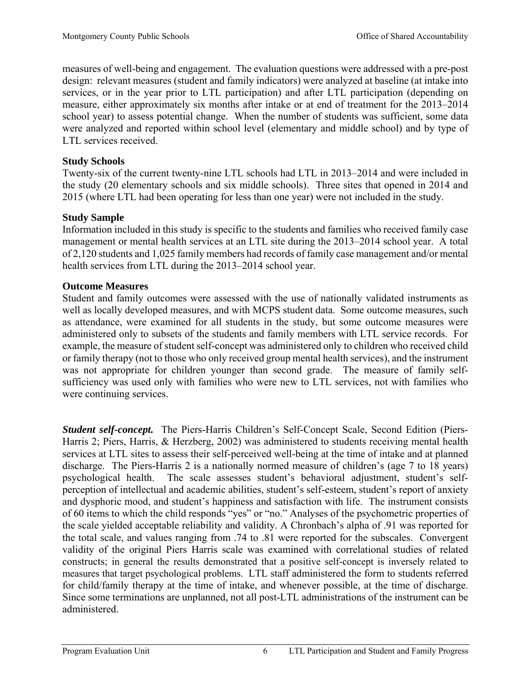measures of well-being and engagement. The evaluation questions were addressed with a pre-post design: relevant measures (student and family indicators) were analyzed at baseline (at intake into services, or in the year prior to LTL participation) and after LTL participation (depending on measure, either approximately six months after intake or at end of treatment for the 2013–2014 school year) to assess potential change. When the number of students was sufficient, some data were analyzed and reported within school level (elementary and middle school) and by type of LTL services received.

## **Study Schools**

Twenty-six of the current twenty-nine LTL schools had LTL in 2013–2014 and were included in the study (20 elementary schools and six middle schools). Three sites that opened in 2014 and 2015 (where LTL had been operating for less than one year) were not included in the study.

# **Study Sample**

Information included in this study is specific to the students and families who received family case management or mental health services at an LTL site during the 2013–2014 school year. A total of 2,120 students and 1,025 family members had records of family case management and/or mental health services from LTL during the 2013–2014 school year.

# **Outcome Measures**

Student and family outcomes were assessed with the use of nationally validated instruments as well as locally developed measures, and with MCPS student data. Some outcome measures, such as attendance, were examined for all students in the study, but some outcome measures were administered only to subsets of the students and family members with LTL service records. For example, the measure of student self-concept was administered only to children who received child or family therapy (not to those who only received group mental health services), and the instrument was not appropriate for children younger than second grade. The measure of family selfsufficiency was used only with families who were new to LTL services, not with families who were continuing services.

*Student self-concept.* The Piers-Harris Children's Self-Concept Scale, Second Edition (Piers-Harris 2; Piers, Harris, & Herzberg, 2002) was administered to students receiving mental health services at LTL sites to assess their self-perceived well-being at the time of intake and at planned discharge. The Piers-Harris 2 is a nationally normed measure of children's (age 7 to 18 years) psychological health. The scale assesses student's behavioral adjustment, student's selfperception of intellectual and academic abilities, student's self-esteem, student's report of anxiety and dysphoric mood, and student's happiness and satisfaction with life. The instrument consists of 60 items to which the child responds "yes" or "no." Analyses of the psychometric properties of the scale yielded acceptable reliability and validity. A Chronbach's alpha of .91 was reported for the total scale, and values ranging from .74 to .81 were reported for the subscales. Convergent validity of the original Piers Harris scale was examined with correlational studies of related constructs; in general the results demonstrated that a positive self-concept is inversely related to measures that target psychological problems. LTL staff administered the form to students referred for child/family therapy at the time of intake, and whenever possible, at the time of discharge. Since some terminations are unplanned, not all post-LTL administrations of the instrument can be administered.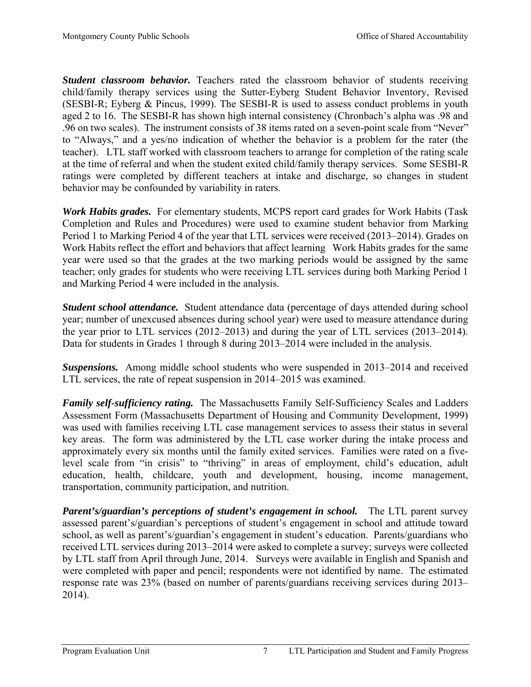*Student classroom behavior.* Teachers rated the classroom behavior of students receiving child/family therapy services using the Sutter-Eyberg Student Behavior Inventory, Revised (SESBI-R; Eyberg & Pincus, 1999). The SESBI-R is used to assess conduct problems in youth aged 2 to 16. The SESBI-R has shown high internal consistency (Chronbach's alpha was .98 and .96 on two scales). The instrument consists of 38 items rated on a seven-point scale from "Never" to "Always," and a yes/no indication of whether the behavior is a problem for the rater (the teacher). LTL staff worked with classroom teachers to arrange for completion of the rating scale at the time of referral and when the student exited child/family therapy services. Some SESBI-R ratings were completed by different teachers at intake and discharge, so changes in student behavior may be confounded by variability in raters.

*Work Habits grades.* For elementary students, MCPS report card grades for Work Habits (Task Completion and Rules and Procedures) were used to examine student behavior from Marking Period 1 to Marking Period 4 of the year that LTL services were received (2013–2014). Grades on Work Habits reflect the effort and behaviors that affect learning Work Habits grades for the same year were used so that the grades at the two marking periods would be assigned by the same teacher; only grades for students who were receiving LTL services during both Marking Period 1 and Marking Period 4 were included in the analysis.

*Student school attendance.* Student attendance data (percentage of days attended during school year; number of unexcused absences during school year) were used to measure attendance during the year prior to LTL services (2012–2013) and during the year of LTL services (2013–2014). Data for students in Grades 1 through 8 during 2013–2014 were included in the analysis.

*Suspensions.* Among middle school students who were suspended in 2013–2014 and received LTL services, the rate of repeat suspension in 2014–2015 was examined.

*Family self-sufficiency rating.* The Massachusetts Family Self-Sufficiency Scales and Ladders Assessment Form (Massachusetts Department of Housing and Community Development, 1999) was used with families receiving LTL case management services to assess their status in several key areas. The form was administered by the LTL case worker during the intake process and approximately every six months until the family exited services. Families were rated on a fivelevel scale from "in crisis" to "thriving" in areas of employment, child's education, adult education, health, childcare, youth and development, housing, income management, transportation, community participation, and nutrition.

*Parent's/guardian's perceptions of student's engagement in school.* The LTL parent survey assessed parent's/guardian's perceptions of student's engagement in school and attitude toward school, as well as parent's/guardian's engagement in student's education. Parents/guardians who received LTL services during 2013–2014 were asked to complete a survey; surveys were collected by LTL staff from April through June, 2014. Surveys were available in English and Spanish and were completed with paper and pencil; respondents were not identified by name. The estimated response rate was 23% (based on number of parents/guardians receiving services during 2013– 2014).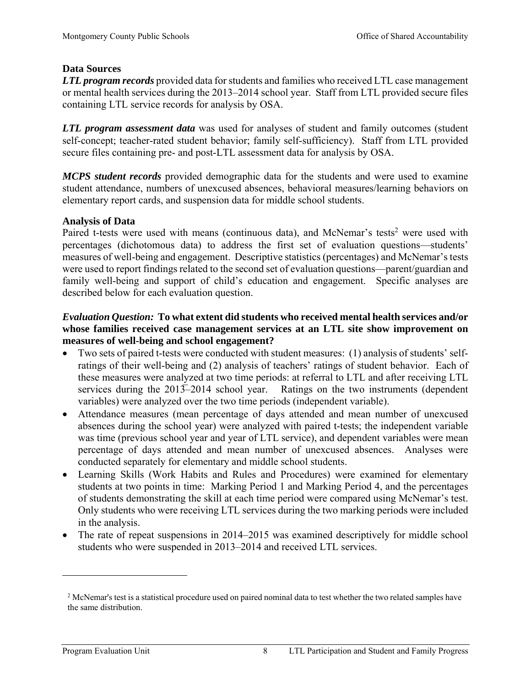## **Data Sources**

*LTL program records* provided data for students and families who received LTL case management or mental health services during the 2013–2014 school year. Staff from LTL provided secure files containing LTL service records for analysis by OSA.

*LTL program assessment data* was used for analyses of student and family outcomes (student self-concept; teacher-rated student behavior; family self-sufficiency). Staff from LTL provided secure files containing pre- and post-LTL assessment data for analysis by OSA.

*MCPS student records* provided demographic data for the students and were used to examine student attendance, numbers of unexcused absences, behavioral measures/learning behaviors on elementary report cards, and suspension data for middle school students.

## **Analysis of Data**

Paired t-tests were used with means (continuous data), and McNemar's tests<sup>2</sup> were used with percentages (dichotomous data) to address the first set of evaluation questions—students' measures of well-being and engagement. Descriptive statistics (percentages) and McNemar's tests were used to report findings related to the second set of evaluation questions—parent/guardian and family well-being and support of child's education and engagement. Specific analyses are described below for each evaluation question.

## *Evaluation Question:* **To what extent did students who received mental health services and/or whose families received case management services at an LTL site show improvement on measures of well-being and school engagement?**

- Two sets of paired t-tests were conducted with student measures: (1) analysis of students' selfratings of their well-being and (2) analysis of teachers' ratings of student behavior. Each of these measures were analyzed at two time periods: at referral to LTL and after receiving LTL services during the  $201\overline{3}$ –2014 school year. Ratings on the two instruments (dependent variables) were analyzed over the two time periods (independent variable).
- Attendance measures (mean percentage of days attended and mean number of unexcused absences during the school year) were analyzed with paired t-tests; the independent variable was time (previous school year and year of LTL service), and dependent variables were mean percentage of days attended and mean number of unexcused absences. Analyses were conducted separately for elementary and middle school students.
- Learning Skills (Work Habits and Rules and Procedures) were examined for elementary students at two points in time: Marking Period 1 and Marking Period 4, and the percentages of students demonstrating the skill at each time period were compared using McNemar's test. Only students who were receiving LTL services during the two marking periods were included in the analysis.
- The rate of repeat suspensions in 2014–2015 was examined descriptively for middle school students who were suspended in 2013–2014 and received LTL services.

1

<sup>&</sup>lt;sup>2</sup> McNemar's test is a statistical procedure used on paired nominal data to test whether the two related samples have the same distribution.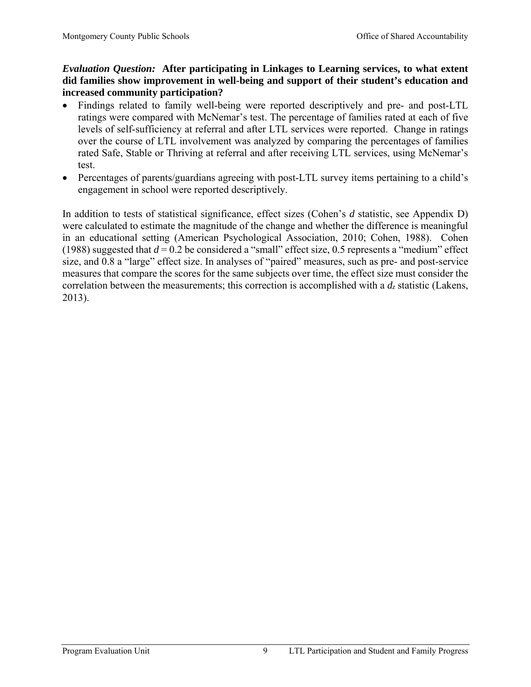# *Evaluation Question:* **After participating in Linkages to Learning services, to what extent did families show improvement in well-being and support of their student's education and increased community participation?**

- Findings related to family well-being were reported descriptively and pre- and post-LTL ratings were compared with McNemar's test. The percentage of families rated at each of five levels of self-sufficiency at referral and after LTL services were reported. Change in ratings over the course of LTL involvement was analyzed by comparing the percentages of families rated Safe, Stable or Thriving at referral and after receiving LTL services, using McNemar's test.
- Percentages of parents/guardians agreeing with post-LTL survey items pertaining to a child's engagement in school were reported descriptively.

In addition to tests of statistical significance, effect sizes (Cohen's *d* statistic, see Appendix D) were calculated to estimate the magnitude of the change and whether the difference is meaningful in an educational setting (American Psychological Association, 2010; Cohen, 1988). Cohen (1988) suggested that  $d = 0.2$  be considered a "small" effect size, 0.5 represents a "medium" effect size, and 0.8 a "large" effect size. In analyses of "paired" measures, such as pre- and post-service measures that compare the scores for the same subjects over time, the effect size must consider the correlation between the measurements; this correction is accomplished with a  $d_z$  statistic (Lakens, 2013).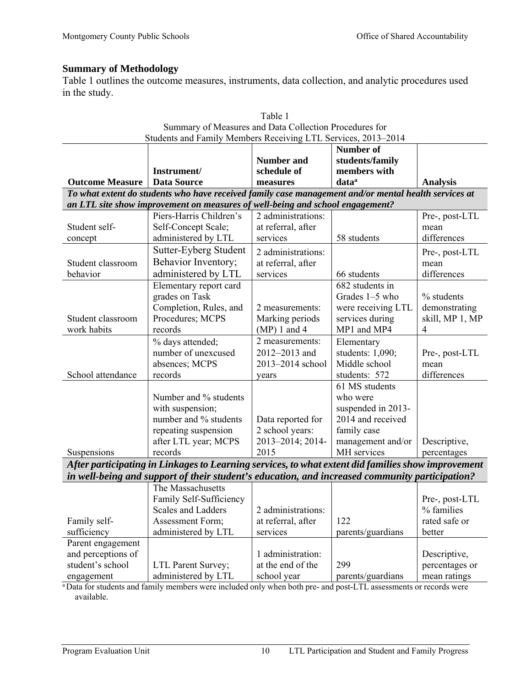# **Summary of Methodology**

Table 1 outlines the outcome measures, instruments, data collection, and analytic procedures used in the study.

| Students and Family Members Receiving LTL Services, 2013-2014                                        |                                                                                                    |                    |                    |                 |  |  |  |  |
|------------------------------------------------------------------------------------------------------|----------------------------------------------------------------------------------------------------|--------------------|--------------------|-----------------|--|--|--|--|
|                                                                                                      |                                                                                                    |                    | <b>Number of</b>   |                 |  |  |  |  |
|                                                                                                      |                                                                                                    | <b>Number and</b>  | students/family    |                 |  |  |  |  |
|                                                                                                      | Instrument/                                                                                        | schedule of        | members with       |                 |  |  |  |  |
| <b>Outcome Measure</b>                                                                               | <b>Data Source</b>                                                                                 | measures           | data <sup>a</sup>  | <b>Analysis</b> |  |  |  |  |
| To what extent do students who have received family case management and/or mental health services at |                                                                                                    |                    |                    |                 |  |  |  |  |
|                                                                                                      | an LTL site show improvement on measures of well-being and school engagement?                      |                    |                    |                 |  |  |  |  |
|                                                                                                      | Piers-Harris Children's                                                                            | 2 administrations: |                    | Pre-, post-LTL  |  |  |  |  |
| Student self-                                                                                        | Self-Concept Scale;                                                                                | at referral, after |                    | mean            |  |  |  |  |
| concept                                                                                              | administered by LTL                                                                                | services           | 58 students        | differences     |  |  |  |  |
|                                                                                                      | Sutter-Eyberg Student                                                                              | 2 administrations: |                    | Pre-, post-LTL  |  |  |  |  |
| Student classroom                                                                                    | Behavior Inventory;                                                                                | at referral, after |                    | mean            |  |  |  |  |
| behavior                                                                                             | administered by LTL                                                                                | services           | 66 students        | differences     |  |  |  |  |
|                                                                                                      | Elementary report card                                                                             |                    | 682 students in    |                 |  |  |  |  |
|                                                                                                      | grades on Task                                                                                     |                    | Grades 1-5 who     | % students      |  |  |  |  |
|                                                                                                      | Completion, Rules, and                                                                             | 2 measurements:    | were receiving LTL | demonstrating   |  |  |  |  |
| Student classroom                                                                                    | Procedures; MCPS                                                                                   | Marking periods    | services during    | skill, MP 1, MP |  |  |  |  |
| work habits                                                                                          | records                                                                                            | $(MP) 1$ and 4     | MP1 and MP4        | 4               |  |  |  |  |
|                                                                                                      | % days attended;                                                                                   | 2 measurements:    | Elementary         |                 |  |  |  |  |
|                                                                                                      | number of unexcused                                                                                | 2012-2013 and      | students: 1,090;   | Pre-, post-LTL  |  |  |  |  |
|                                                                                                      | absences; MCPS                                                                                     | 2013-2014 school   | Middle school      | mean            |  |  |  |  |
| School attendance                                                                                    | records                                                                                            | years              | students: 572      | differences     |  |  |  |  |
|                                                                                                      |                                                                                                    |                    | 61 MS students     |                 |  |  |  |  |
|                                                                                                      | Number and % students                                                                              |                    | who were           |                 |  |  |  |  |
|                                                                                                      | with suspension;                                                                                   |                    | suspended in 2013- |                 |  |  |  |  |
|                                                                                                      | number and % students                                                                              | Data reported for  | 2014 and received  |                 |  |  |  |  |
|                                                                                                      | repeating suspension                                                                               | 2 school years:    | family case        |                 |  |  |  |  |
|                                                                                                      | after LTL year; MCPS                                                                               | 2013-2014; 2014-   | management and/or  | Descriptive,    |  |  |  |  |
| Suspensions                                                                                          | records                                                                                            | 2015               | MH services        | percentages     |  |  |  |  |
|                                                                                                      | After participating in Linkages to Learning services, to what extent did families show improvement |                    |                    |                 |  |  |  |  |
|                                                                                                      | in well-being and support of their student's education, and increased community participation?     |                    |                    |                 |  |  |  |  |
|                                                                                                      | The Massachusetts                                                                                  |                    |                    |                 |  |  |  |  |
|                                                                                                      | Family Self-Sufficiency                                                                            |                    |                    | Pre-, post-LTL  |  |  |  |  |
|                                                                                                      | Scales and Ladders                                                                                 | 2 administrations: |                    | % families      |  |  |  |  |
| Family self-                                                                                         | Assessment Form;                                                                                   | at referral, after | 122                | rated safe or   |  |  |  |  |
| sufficiency                                                                                          | administered by LTL                                                                                | services           | parents/guardians  | better          |  |  |  |  |
| Parent engagement                                                                                    |                                                                                                    |                    |                    |                 |  |  |  |  |
| and perceptions of                                                                                   |                                                                                                    | 1 administration:  |                    | Descriptive,    |  |  |  |  |
| student's school                                                                                     | LTL Parent Survey;                                                                                 | at the end of the  | 299                | percentages or  |  |  |  |  |
| engagement                                                                                           | administered by LTL                                                                                | school year        | parents/guardians  | mean ratings    |  |  |  |  |
|                                                                                                      |                                                                                                    |                    |                    |                 |  |  |  |  |

| Table 1                                                      |
|--------------------------------------------------------------|
| Summary of Measures and Data Collection Procedures for       |
| Students and Family Members Receiving LTL Services 2013–2014 |

Data for students and family members were included only when both pre- and post-LTL assessments or records were available.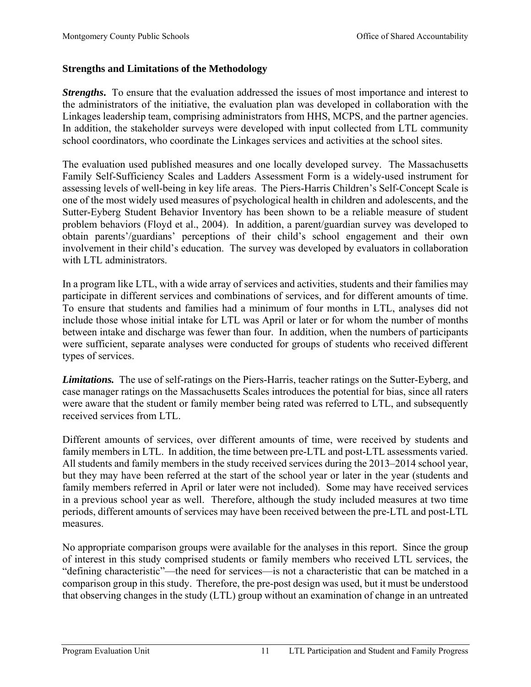# **Strengths and Limitations of the Methodology**

*Strengths***.** To ensure that the evaluation addressed the issues of most importance and interest to the administrators of the initiative, the evaluation plan was developed in collaboration with the Linkages leadership team, comprising administrators from HHS, MCPS, and the partner agencies. In addition, the stakeholder surveys were developed with input collected from LTL community school coordinators, who coordinate the Linkages services and activities at the school sites.

The evaluation used published measures and one locally developed survey. The Massachusetts Family Self-Sufficiency Scales and Ladders Assessment Form is a widely-used instrument for assessing levels of well-being in key life areas. The Piers-Harris Children's Self-Concept Scale is one of the most widely used measures of psychological health in children and adolescents, and the Sutter-Eyberg Student Behavior Inventory has been shown to be a reliable measure of student problem behaviors (Floyd et al., 2004). In addition, a parent/guardian survey was developed to obtain parents'/guardians' perceptions of their child's school engagement and their own involvement in their child's education. The survey was developed by evaluators in collaboration with LTL administrators.

In a program like LTL, with a wide array of services and activities, students and their families may participate in different services and combinations of services, and for different amounts of time. To ensure that students and families had a minimum of four months in LTL, analyses did not include those whose initial intake for LTL was April or later or for whom the number of months between intake and discharge was fewer than four. In addition, when the numbers of participants were sufficient, separate analyses were conducted for groups of students who received different types of services.

*Limitations.* The use of self-ratings on the Piers-Harris, teacher ratings on the Sutter-Eyberg, and case manager ratings on the Massachusetts Scales introduces the potential for bias, since all raters were aware that the student or family member being rated was referred to LTL, and subsequently received services from LTL.

Different amounts of services, over different amounts of time, were received by students and family members in LTL. In addition, the time between pre-LTL and post-LTL assessments varied. All students and family members in the study received services during the 2013–2014 school year, but they may have been referred at the start of the school year or later in the year (students and family members referred in April or later were not included). Some may have received services in a previous school year as well. Therefore, although the study included measures at two time periods, different amounts of services may have been received between the pre-LTL and post-LTL measures.

No appropriate comparison groups were available for the analyses in this report. Since the group of interest in this study comprised students or family members who received LTL services, the "defining characteristic"—the need for services—is not a characteristic that can be matched in a comparison group in this study. Therefore, the pre-post design was used, but it must be understood that observing changes in the study (LTL) group without an examination of change in an untreated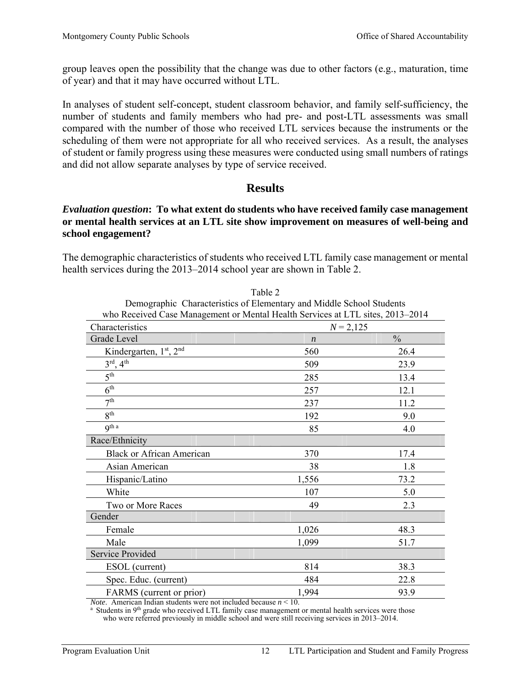group leaves open the possibility that the change was due to other factors (e.g., maturation, time of year) and that it may have occurred without LTL.

In analyses of student self-concept, student classroom behavior, and family self-sufficiency, the number of students and family members who had pre- and post-LTL assessments was small compared with the number of those who received LTL services because the instruments or the scheduling of them were not appropriate for all who received services. As a result, the analyses of student or family progress using these measures were conducted using small numbers of ratings and did not allow separate analyses by type of service received.

# **Results**

## *Evaluation question***: To what extent do students who have received family case management or mental health services at an LTL site show improvement on measures of well-being and school engagement?**

The demographic characteristics of students who received LTL family case management or mental health services during the 2013–2014 school year are shown in Table 2.

| Demographic Characteristics of Elementary and Middle School Students<br>who Received Case Management or Mental Health Services at LTL sites, 2013–2014           |                                   |      |  |  |  |  |  |
|------------------------------------------------------------------------------------------------------------------------------------------------------------------|-----------------------------------|------|--|--|--|--|--|
| Characteristics                                                                                                                                                  | $N = 2,125$                       |      |  |  |  |  |  |
| Grade Level                                                                                                                                                      | $\frac{0}{0}$<br>$\boldsymbol{n}$ |      |  |  |  |  |  |
| Kindergarten, 1st, 2nd                                                                                                                                           | 560                               | 26.4 |  |  |  |  |  |
| $3^{\text{rd}}, 4^{\text{th}}$                                                                                                                                   | 509                               | 23.9 |  |  |  |  |  |
| $5^{\text{th}}$                                                                                                                                                  | 285                               | 13.4 |  |  |  |  |  |
| 6 <sup>th</sup>                                                                                                                                                  | 257                               | 12.1 |  |  |  |  |  |
| 7 <sup>th</sup>                                                                                                                                                  | 237                               | 11.2 |  |  |  |  |  |
| 8 <sup>th</sup>                                                                                                                                                  | 192                               | 9.0  |  |  |  |  |  |
| q <sup>th a</sup>                                                                                                                                                | 85                                | 4.0  |  |  |  |  |  |
| Race/Ethnicity                                                                                                                                                   |                                   |      |  |  |  |  |  |
| <b>Black or African American</b>                                                                                                                                 | 370                               | 17.4 |  |  |  |  |  |
| Asian American                                                                                                                                                   | 38                                | 1.8  |  |  |  |  |  |
| Hispanic/Latino                                                                                                                                                  | 1,556                             | 73.2 |  |  |  |  |  |
| White                                                                                                                                                            | 107                               | 5.0  |  |  |  |  |  |
| Two or More Races                                                                                                                                                | 49                                | 2.3  |  |  |  |  |  |
| Gender                                                                                                                                                           |                                   |      |  |  |  |  |  |
| Female                                                                                                                                                           | 1,026                             | 48.3 |  |  |  |  |  |
| Male                                                                                                                                                             | 1,099                             | 51.7 |  |  |  |  |  |
| <b>Service Provided</b>                                                                                                                                          |                                   |      |  |  |  |  |  |
| ESOL (current)                                                                                                                                                   | 814                               | 38.3 |  |  |  |  |  |
| Spec. Educ. (current)                                                                                                                                            | 484                               | 22.8 |  |  |  |  |  |
| FARMS (current or prior)<br>$\mathbf{I} = \mathbf{I} + \mathbf{I} + \mathbf{I} + \mathbf{I} + \mathbf{I} + \mathbf{I}$<br>$\overline{M}$ .<br>$-1$ $-1$ $-1$ $1$ | 1,994<br>>10                      | 93.9 |  |  |  |  |  |

Table 2 Demographic Characteristics of Elementary and Middle School Students

*Note.* American Indian students were not included because  $n < 10$ .<br><sup>a</sup> Students in 9<sup>th</sup> grade who received LTL family case management or mental health services were those who were referred previously in middle school and were still receiving services in 2013–2014.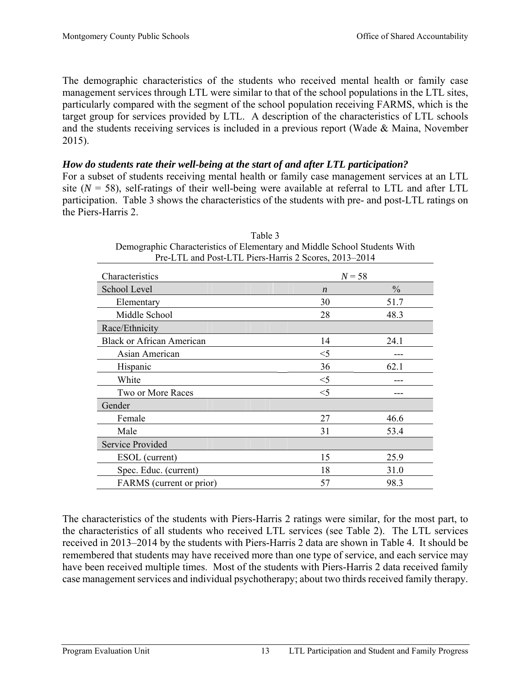The demographic characteristics of the students who received mental health or family case management services through LTL were similar to that of the school populations in the LTL sites, particularly compared with the segment of the school population receiving FARMS, which is the target group for services provided by LTL. A description of the characteristics of LTL schools and the students receiving services is included in a previous report (Wade & Maina, November 2015).

## *How do students rate their well-being at the start of and after LTL participation?*

For a subset of students receiving mental health or family case management services at an LTL site  $(N = 58)$ , self-ratings of their well-being were available at referral to LTL and after LTL participation. Table 3 shows the characteristics of the students with pre- and post-LTL ratings on the Piers-Harris 2.

| Pre-LTL and Post-LTL Piers-Harris 2 Scores, 2013–2014 |                  |               |  |  |  |  |
|-------------------------------------------------------|------------------|---------------|--|--|--|--|
| Characteristics                                       | $N = 58$         |               |  |  |  |  |
| School Level                                          | $\boldsymbol{n}$ | $\frac{0}{0}$ |  |  |  |  |
| Elementary                                            | 30               | 51.7          |  |  |  |  |
| Middle School                                         | 28               | 48.3          |  |  |  |  |
| Race/Ethnicity                                        |                  |               |  |  |  |  |
| <b>Black or African American</b>                      | 14               | 24.1          |  |  |  |  |
| Asian American                                        | $\leq$ 5         |               |  |  |  |  |
| Hispanic                                              | 36               | 62.1          |  |  |  |  |
| White                                                 | $<$ 5            |               |  |  |  |  |
| Two or More Races                                     | $<$ 5            |               |  |  |  |  |
| Gender                                                |                  |               |  |  |  |  |
| Female                                                | 27               | 46.6          |  |  |  |  |
| Male                                                  | 31               | 53.4          |  |  |  |  |
| Service Provided                                      |                  |               |  |  |  |  |
| ESOL (current)                                        | 15               | 25.9          |  |  |  |  |
| Spec. Educ. (current)                                 | 18               | 31.0          |  |  |  |  |
| FARMS (current or prior)                              | 57               | 98.3          |  |  |  |  |
|                                                       |                  |               |  |  |  |  |

| Table 3                                                                   |
|---------------------------------------------------------------------------|
| Demographic Characteristics of Elementary and Middle School Students With |
| Pre-LTL and Post-LTL Piers-Harris 2 Scores, 2013–2014                     |

The characteristics of the students with Piers-Harris 2 ratings were similar, for the most part, to the characteristics of all students who received LTL services (see Table 2). The LTL services received in 2013–2014 by the students with Piers-Harris 2 data are shown in Table 4. It should be remembered that students may have received more than one type of service, and each service may have been received multiple times. Most of the students with Piers-Harris 2 data received family case management services and individual psychotherapy; about two thirds received family therapy.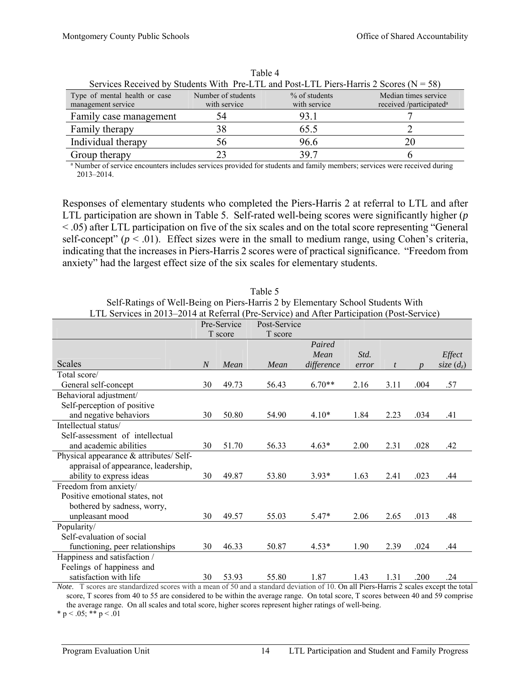| Services Received by Students With Pre-LTL and Post-LTL Piers-Harris 2 Scores ( $N = 58$ ) |                                    |                               |                                                             |  |  |  |  |  |
|--------------------------------------------------------------------------------------------|------------------------------------|-------------------------------|-------------------------------------------------------------|--|--|--|--|--|
| Type of mental health or case<br>management service                                        | Number of students<br>with service | % of students<br>with service | Median times service<br>received /participated <sup>a</sup> |  |  |  |  |  |
| Family case management                                                                     | 54                                 | 93.1                          |                                                             |  |  |  |  |  |
| Family therapy                                                                             | 38                                 | 65.5                          |                                                             |  |  |  |  |  |
| Individual therapy                                                                         | 56                                 | 96.6                          | 20                                                          |  |  |  |  |  |
| Group therapy                                                                              |                                    | 397                           |                                                             |  |  |  |  |  |

Table 4

<sup>a</sup> Number of service encounters includes services provided for students and family members; services were received during 2013–2014.

Responses of elementary students who completed the Piers-Harris 2 at referral to LTL and after LTL participation are shown in Table 5. Self-rated well-being scores were significantly higher (*p* < .05) after LTL participation on five of the six scales and on the total score representing "General self-concept" ( $p < .01$ ). Effect sizes were in the small to medium range, using Cohen's criteria, indicating that the increases in Piers-Harris 2 scores were of practical significance. "Freedom from anxiety" had the largest effect size of the six scales for elementary students.

|                                         | $\frac{1}{2}$ and $\frac{1}{2}$ are the set that $\frac{1}{2}$ is the $\frac{1}{2}$ such that $\frac{1}{2}$ and $\frac{1}{2}$ are $\frac{1}{2}$ and $\frac{1}{2}$ are $\frac{1}{2}$<br>Post-Service<br>Pre-Service |         |         |                |       |      |                  |              |
|-----------------------------------------|--------------------------------------------------------------------------------------------------------------------------------------------------------------------------------------------------------------------|---------|---------|----------------|-------|------|------------------|--------------|
|                                         |                                                                                                                                                                                                                    | T score | T score |                |       |      |                  |              |
|                                         |                                                                                                                                                                                                                    |         |         | Paired<br>Mean | Std.  |      |                  | Effect       |
| <b>Scales</b>                           | $\overline{N}$                                                                                                                                                                                                     | Mean    | Mean    | difference     | error | t    | $\boldsymbol{n}$ | size $(d_z)$ |
| Total score/                            |                                                                                                                                                                                                                    |         |         |                |       |      |                  |              |
| General self-concept                    | 30                                                                                                                                                                                                                 | 49.73   | 56.43   | $6.70**$       | 2.16  | 3.11 | .004             | .57          |
| Behavioral adjustment/                  |                                                                                                                                                                                                                    |         |         |                |       |      |                  |              |
| Self-perception of positive             |                                                                                                                                                                                                                    |         |         |                |       |      |                  |              |
| and negative behaviors                  | 30                                                                                                                                                                                                                 | 50.80   | 54.90   | $4.10*$        | 1.84  | 2.23 | .034             | .41          |
| Intellectual status/                    |                                                                                                                                                                                                                    |         |         |                |       |      |                  |              |
| Self-assessment of intellectual         |                                                                                                                                                                                                                    |         |         |                |       |      |                  |              |
| and academic abilities                  | 30                                                                                                                                                                                                                 | 51.70   | 56.33   | $4.63*$        | 2.00  | 2.31 | .028             | .42          |
| Physical appearance & attributes/ Self- |                                                                                                                                                                                                                    |         |         |                |       |      |                  |              |
| appraisal of appearance, leadership,    |                                                                                                                                                                                                                    |         |         |                |       |      |                  |              |
| ability to express ideas                | 30                                                                                                                                                                                                                 | 49.87   | 53.80   | $3.93*$        | 1.63  | 2.41 | .023             | .44          |
| Freedom from anxiety/                   |                                                                                                                                                                                                                    |         |         |                |       |      |                  |              |
| Positive emotional states, not          |                                                                                                                                                                                                                    |         |         |                |       |      |                  |              |
| bothered by sadness, worry,             |                                                                                                                                                                                                                    |         |         |                |       |      |                  |              |
| unpleasant mood                         | 30                                                                                                                                                                                                                 | 49.57   | 55.03   | $5.47*$        | 2.06  | 2.65 | .013             | .48          |
| Popularity/                             |                                                                                                                                                                                                                    |         |         |                |       |      |                  |              |
| Self-evaluation of social               |                                                                                                                                                                                                                    |         |         |                |       |      |                  |              |
| functioning, peer relationships         | 30                                                                                                                                                                                                                 | 46.33   | 50.87   | $4.53*$        | 1.90  | 2.39 | .024             | .44          |
| Happiness and satisfaction /            |                                                                                                                                                                                                                    |         |         |                |       |      |                  |              |
| Feelings of happiness and               |                                                                                                                                                                                                                    |         |         |                |       |      |                  |              |
| satisfaction with life                  | 30                                                                                                                                                                                                                 | 53.93   | 55.80   | 1.87           | 1.43  | 1.31 | .200             | .24          |

Table 5 Self-Ratings of Well-Being on Piers-Harris 2 by Elementary School Students With LTL Services in 2013–2014 at Referral (Pre-Service) and After Participation (Post-Service)

*Note*. T scores are standardized scores with a mean of 50 and a standard deviation of 10. On all Piers-Harris 2 scales except the total score, T scores from 40 to 55 are considered to be within the average range. On total score, T scores between 40 and 59 comprise the average range. On all scales and total score, higher scores represent higher ratings of well-being.

\* p < .05; \*\* p < .01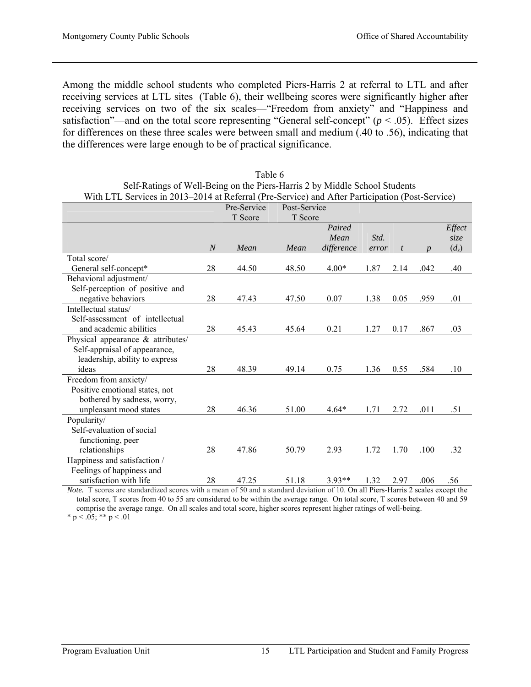Among the middle school students who completed Piers-Harris 2 at referral to LTL and after receiving services at LTL sites (Table 6), their wellbeing scores were significantly higher after receiving services on two of the six scales—"Freedom from anxiety" and "Happiness and satisfaction"—and on the total score representing "General self-concept" ( $p < .05$ ). Effect sizes for differences on these three scales were between small and medium (.40 to .56), indicating that the differences were large enough to be of practical significance.

| With LTL Services in 2013–2014 at Referral (Pre-Service) and After Participation (Post-Service) |                  |             |              |            |       |                |      |         |
|-------------------------------------------------------------------------------------------------|------------------|-------------|--------------|------------|-------|----------------|------|---------|
|                                                                                                 |                  | Pre-Service | Post-Service |            |       |                |      |         |
|                                                                                                 |                  | T Score     | T Score      |            |       |                |      |         |
|                                                                                                 |                  |             |              | Paired     |       |                |      | Effect  |
|                                                                                                 |                  |             |              | Mean       | Std.  |                |      | size    |
|                                                                                                 | $\boldsymbol{N}$ | Mean        | Mean         | difference | error | $\mathfrak{t}$ |      | $(d_z)$ |
| Total score/                                                                                    |                  |             |              |            |       |                |      |         |
| General self-concept*                                                                           | 28               | 44.50       | 48.50        | $4.00*$    | 1.87  | 2.14           | .042 | .40     |
| Behavioral adjustment/                                                                          |                  |             |              |            |       |                |      |         |
| Self-perception of positive and                                                                 |                  |             |              |            |       |                |      |         |
| negative behaviors                                                                              | 28               | 47.43       | 47.50        | 0.07       | 1.38  | 0.05           | .959 | .01     |
| Intellectual status/                                                                            |                  |             |              |            |       |                |      |         |
| Self-assessment of intellectual                                                                 |                  |             |              |            |       |                |      |         |
| and academic abilities                                                                          | 28               | 45.43       | 45.64        | 0.21       | 1.27  | 0.17           | .867 | .03     |
| Physical appearance & attributes/                                                               |                  |             |              |            |       |                |      |         |
| Self-appraisal of appearance,                                                                   |                  |             |              |            |       |                |      |         |
| leadership, ability to express                                                                  |                  |             |              |            |       |                |      |         |
| ideas                                                                                           | 28               | 48.39       | 49.14        | 0.75       | 1.36  | 0.55           | .584 | .10     |
| Freedom from anxiety/                                                                           |                  |             |              |            |       |                |      |         |
| Positive emotional states, not                                                                  |                  |             |              |            |       |                |      |         |
| bothered by sadness, worry,                                                                     |                  |             |              |            |       |                |      |         |
| unpleasant mood states                                                                          | 28               | 46.36       | 51.00        | $4.64*$    | 1.71  | 2.72           | .011 | .51     |
| Popularity/                                                                                     |                  |             |              |            |       |                |      |         |
| Self-evaluation of social                                                                       |                  |             |              |            |       |                |      |         |
| functioning, peer                                                                               |                  |             |              |            |       |                |      |         |
| relationships                                                                                   | 28               | 47.86       | 50.79        | 2.93       | 1.72  | 1.70           | .100 | .32     |
| Happiness and satisfaction /                                                                    |                  |             |              |            |       |                |      |         |
| Feelings of happiness and                                                                       |                  |             |              |            |       |                |      |         |
| satisfaction with life                                                                          | 28               | 47.25       | 51.18        | $3.93**$   | 1.32  | 2.97           | .006 | .56     |

| Table 6                                                                                        |
|------------------------------------------------------------------------------------------------|
| Self-Ratings of Well-Being on the Piers-Harris 2 by Middle School Students                     |
| With LTL Services in 2013–2014 at Referral (Pre-Service) and After Participation (Post-Service |

*Note.* T scores are standardized scores with a mean of 50 and a standard deviation of 10. On all Piers-Harris 2 scales except the total score, T scores from 40 to 55 are considered to be within the average range. On total score, T scores between 40 and 59 comprise the average range. On all scales and total score, higher scores represent higher ratings of well-being. \* p < .05; \*\* p < .01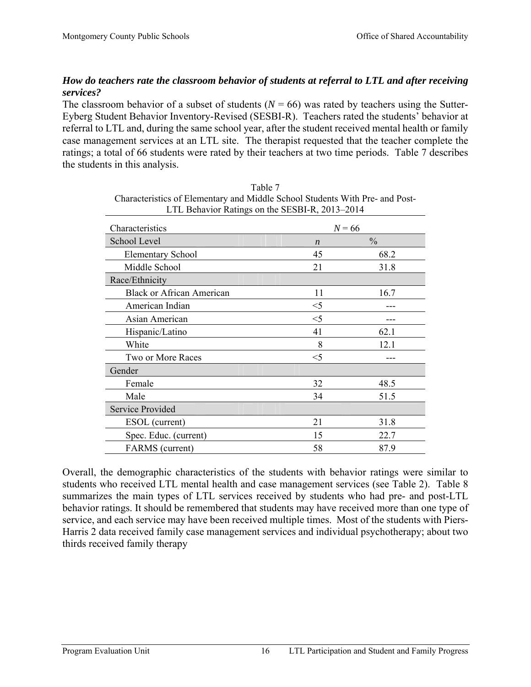# *How do teachers rate the classroom behavior of students at referral to LTL and after receiving services?*

The classroom behavior of a subset of students  $(N = 66)$  was rated by teachers using the Sutter-Eyberg Student Behavior Inventory-Revised (SESBI-R). Teachers rated the students' behavior at referral to LTL and, during the same school year, after the student received mental health or family case management services at an LTL site. The therapist requested that the teacher complete the ratings; a total of 66 students were rated by their teachers at two time periods. Table 7 describes the students in this analysis.

| Characteristics                  | $N = 66$         |               |  |
|----------------------------------|------------------|---------------|--|
| School Level                     | $\boldsymbol{n}$ | $\frac{0}{0}$ |  |
| <b>Elementary School</b>         | 45               | 68.2          |  |
| Middle School                    | 21               | 31.8          |  |
| Race/Ethnicity                   |                  |               |  |
| <b>Black or African American</b> | 11               | 16.7          |  |
| American Indian                  | $<$ 5            |               |  |
| Asian American                   | $<$ 5            |               |  |
| Hispanic/Latino                  | 41               | 62.1          |  |
| White                            | 8                | 12.1          |  |
| Two or More Races                | $<$ 5            |               |  |
| Gender                           |                  |               |  |
| Female                           | 32               | 48.5          |  |
| Male                             | 34               | 51.5          |  |
| <b>Service Provided</b>          |                  |               |  |
| ESOL (current)                   | 21               | 31.8          |  |
| Spec. Educ. (current)            | 15               | 22.7          |  |
| <b>FARMS</b> (current)           | 58               | 87.9          |  |

Table 7 Characteristics of Elementary and Middle School Students With Pre- and Post-LTL Behavior Ratings on the SESBI-R, 2013–2014

Overall, the demographic characteristics of the students with behavior ratings were similar to students who received LTL mental health and case management services (see Table 2). Table 8 summarizes the main types of LTL services received by students who had pre- and post-LTL behavior ratings. It should be remembered that students may have received more than one type of service, and each service may have been received multiple times. Most of the students with Piers-Harris 2 data received family case management services and individual psychotherapy; about two thirds received family therapy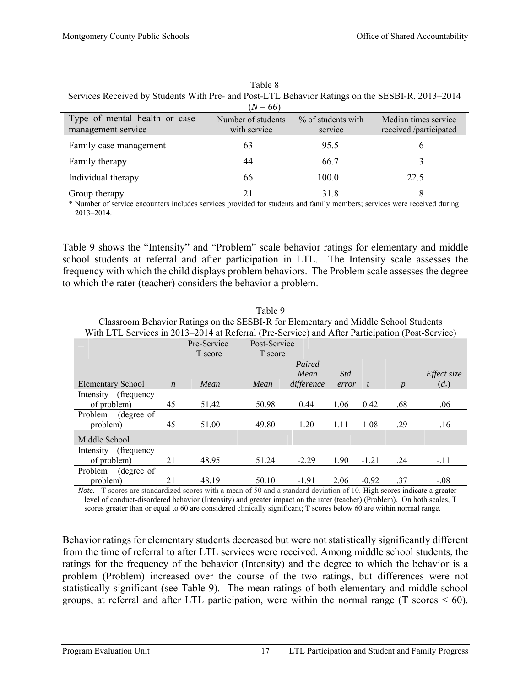|                                                     | $(N = 66)$                         |                               |                                                |
|-----------------------------------------------------|------------------------------------|-------------------------------|------------------------------------------------|
| Type of mental health or case<br>management service | Number of students<br>with service | % of students with<br>service | Median times service<br>received /participated |
| Family case management                              | 63                                 | 95.5                          | n                                              |
| Family therapy                                      | 44                                 | 66.7                          |                                                |
| Individual therapy                                  | 66                                 | 100.0                         | 22.5                                           |
| Group therapy                                       | 21                                 | 31.8                          |                                                |

| Table 8                                                                                         |
|-------------------------------------------------------------------------------------------------|
| Services Received by Students With Pre- and Post-LTL Behavior Ratings on the SESBI-R, 2013–2014 |
|                                                                                                 |

\* Number of service encounters includes services provided for students and family members; services were received during 2013–2014.

Table 9 shows the "Intensity" and "Problem" scale behavior ratings for elementary and middle school students at referral and after participation in LTL. The Intensity scale assesses the frequency with which the child displays problem behaviors. The Problem scale assesses the degree to which the rater (teacher) considers the behavior a problem.

| With LTL Services in 2013–2014 at Referral (Pre-Service) and After Participation (Post-Service) |                  |             |         |              |       |         |     |             |  |  |
|-------------------------------------------------------------------------------------------------|------------------|-------------|---------|--------------|-------|---------|-----|-------------|--|--|
|                                                                                                 |                  | Pre-Service |         | Post-Service |       |         |     |             |  |  |
|                                                                                                 |                  | T score     | T score |              |       |         |     |             |  |  |
|                                                                                                 |                  |             |         | Paired       |       |         |     |             |  |  |
|                                                                                                 |                  |             |         | Mean         | Std.  |         |     | Effect size |  |  |
| Elementary School                                                                               | $\boldsymbol{n}$ | Mean        | Mean    | difference   | error | t       |     | $(d_z)$     |  |  |
| Intensity<br>(frequency)                                                                        |                  |             |         |              |       |         |     |             |  |  |
| of problem)                                                                                     | 45               | 51.42       | 50.98   | 0.44         | 1.06  | 0.42    | .68 | .06         |  |  |
| Problem<br>(degree of                                                                           |                  |             |         |              |       |         |     |             |  |  |
| problem)                                                                                        | 45               | 51.00       | 49.80   | 1.20         | 1.11  | 1.08    | .29 | .16         |  |  |
| Middle School                                                                                   |                  |             |         |              |       |         |     |             |  |  |
| (frequency)<br>Intensity                                                                        |                  |             |         |              |       |         |     |             |  |  |
| of problem)                                                                                     | 21               | 48.95       | 51.24   | $-2.29$      | 1.90  | $-1.21$ | .24 | $-.11$      |  |  |
| Problem<br>(degree of                                                                           |                  |             |         |              |       |         |     |             |  |  |
| problem)                                                                                        | 21               | 48.19       | 50.10   | $-1.91$      | 2.06  | $-0.92$ | .37 | $-.08$      |  |  |

Table 9 Classroom Behavior Ratings on the SESBI-R for Elementary and Middle School Students

*Note*. T scores are standardized scores with a mean of 50 and a standard deviation of 10. High scores indicate a greater level of conduct-disordered behavior (Intensity) and greater impact on the rater (teacher) (Problem). On both scales, T scores greater than or equal to 60 are considered clinically significant; T scores below 60 are within normal range.

Behavior ratings for elementary students decreased but were not statistically significantly different from the time of referral to after LTL services were received. Among middle school students, the ratings for the frequency of the behavior (Intensity) and the degree to which the behavior is a problem (Problem) increased over the course of the two ratings, but differences were not statistically significant (see Table 9). The mean ratings of both elementary and middle school groups, at referral and after LTL participation, were within the normal range  $(T \text{ scores} < 60)$ .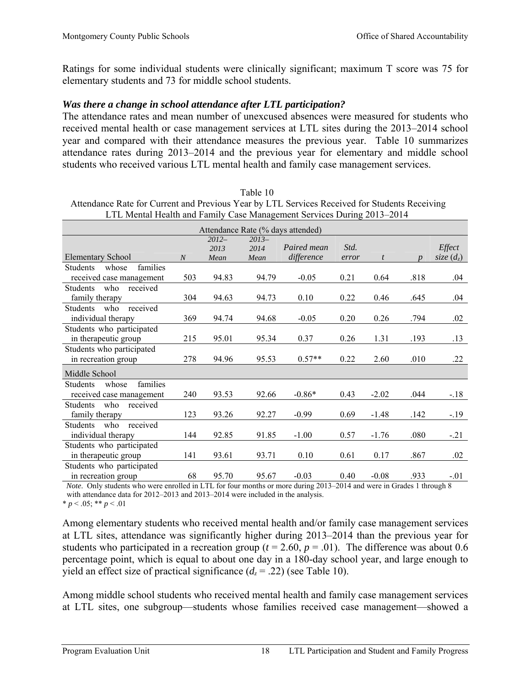Ratings for some individual students were clinically significant; maximum T score was 75 for elementary students and 73 for middle school students.

### *Was there a change in school attendance after LTL participation?*

The attendance rates and mean number of unexcused absences were measured for students who received mental health or case management services at LTL sites during the 2013–2014 school year and compared with their attendance measures the previous year. Table 10 summarizes attendance rates during 2013–2014 and the previous year for elementary and middle school students who received various LTL mental health and family case management services.

| Attendance Rate for Current and Previous Year by LTL Services Received for Students Receiving<br>LTL Mental Health and Family Case Management Services During 2013–2014 |                  |                         |                         |                           |               |                  |                  |                        |
|-------------------------------------------------------------------------------------------------------------------------------------------------------------------------|------------------|-------------------------|-------------------------|---------------------------|---------------|------------------|------------------|------------------------|
| Attendance Rate (% days attended)                                                                                                                                       |                  |                         |                         |                           |               |                  |                  |                        |
| Elementary School                                                                                                                                                       | $\boldsymbol{N}$ | $2012-$<br>2013<br>Mean | $2013-$<br>2014<br>Mean | Paired mean<br>difference | Std.<br>error | $\boldsymbol{t}$ | $\boldsymbol{n}$ | Effect<br>size $(d_z)$ |
| families<br><b>Students</b><br>whose<br>received case management                                                                                                        | 503              | 94.83                   | 94.79                   | $-0.05$                   | 0.21          | 0.64             | .818             | .04                    |
| <b>Students</b><br>who received<br>family therapy                                                                                                                       | 304              | 94.63                   | 94.73                   | 0.10                      | 0.22          | 0.46             | .645             | .04                    |
| received<br><b>Students</b><br>who<br>individual therapy                                                                                                                | 369              | 94.74                   | 94.68                   | $-0.05$                   | 0.20          | 0.26             | .794             | .02                    |
| Students who participated<br>in therapeutic group                                                                                                                       | 215              | 95.01                   | 95.34                   | 0.37                      | 0.26          | 1.31             | .193             | .13                    |
| Students who participated<br>in recreation group                                                                                                                        | 278              | 94.96                   | 95.53                   | $0.57**$                  | 0.22          | 2.60             | .010             | .22                    |
| Middle School                                                                                                                                                           |                  |                         |                         |                           |               |                  |                  |                        |
| families<br><b>Students</b><br>whose<br>received case management                                                                                                        | 240              | 93.53                   | 92.66                   | $-0.86*$                  | 0.43          | $-2.02$          | .044             | $-.18$                 |
| <b>Students</b><br>who<br>received<br>family therapy                                                                                                                    | 123              | 93.26                   | 92.27                   | $-0.99$                   | 0.69          | $-1.48$          | .142             | $-19$                  |
| <b>Students</b><br>who<br>received<br>individual therapy                                                                                                                | 144              | 92.85                   | 91.85                   | $-1.00$                   | 0.57          | $-1.76$          | .080             | $-.21$                 |
| Students who participated<br>in therapeutic group                                                                                                                       | 141              | 93.61                   | 93.71                   | 0.10                      | 0.61          | 0.17             | .867             | .02                    |
| Students who participated<br>in recreation group                                                                                                                        | 68               | 95.70                   | 95.67                   | $-0.03$                   | 0.40          | $-0.08$          | .933             | $-.01$                 |

Table 10 Attendance Rate for Current and Previous Year by LTL Services Received for Students Receiving

*Note*. Only students who were enrolled in LTL for four months or more during 2013–2014 and were in Grades 1 through 8

with attendance data for 2012–2013 and 2013–2014 were included in the analysis.

 $* p < .05; ** p < .01$ 

Among elementary students who received mental health and/or family case management services at LTL sites, attendance was significantly higher during 2013–2014 than the previous year for students who participated in a recreation group ( $t = 2.60$ ,  $p = .01$ ). The difference was about 0.6 percentage point, which is equal to about one day in a 180-day school year, and large enough to yield an effect size of practical significance  $(d_z = .22)$  (see Table 10).

Among middle school students who received mental health and family case management services at LTL sites, one subgroup—students whose families received case management—showed a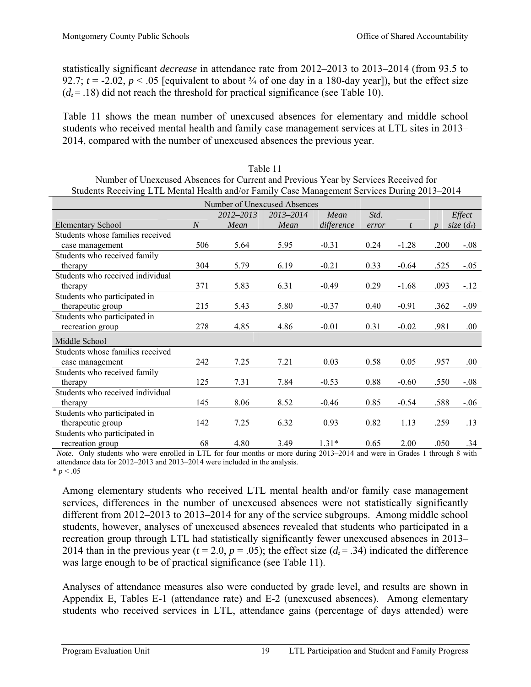statistically significant *decrease* in attendance rate from 2012–2013 to 2013–2014 (from 93.5 to 92.7;  $t = -2.02$ ,  $p < .05$  [equivalent to about  $\frac{3}{4}$  of one day in a 180-day year]), but the effect size  $(d_z = .18)$  did not reach the threshold for practical significance (see Table 10).

Table 11 shows the mean number of unexcused absences for elementary and middle school students who received mental health and family case management services at LTL sites in 2013– 2014, compared with the number of unexcused absences the previous year.

| $\beta$ udents Keelving LTL mental Health and/01 Fannly Case management Services During 2019–2014 |                |           |           |            |       |         |      |              |
|---------------------------------------------------------------------------------------------------|----------------|-----------|-----------|------------|-------|---------|------|--------------|
| Number of Unexcused Absences                                                                      |                |           |           |            |       |         |      |              |
|                                                                                                   |                | 2012-2013 | 2013-2014 | Mean       | Std.  |         |      | Effect       |
| <b>Elementary School</b>                                                                          | $\overline{N}$ | Mean      | Mean      | difference | error |         |      | size $(d_z)$ |
| Students whose families received                                                                  |                |           |           |            |       |         |      |              |
| case management                                                                                   | 506            | 5.64      | 5.95      | $-0.31$    | 0.24  | $-1.28$ | .200 | $-0.08$      |
| Students who received family                                                                      |                |           |           |            |       |         |      |              |
| therapy                                                                                           | 304            | 5.79      | 6.19      | $-0.21$    | 0.33  | $-0.64$ | .525 | $-.05$       |
| Students who received individual                                                                  |                |           |           |            |       |         |      |              |
| therapy                                                                                           | 371            | 5.83      | 6.31      | $-0.49$    | 0.29  | $-1.68$ | .093 | $-.12$       |
| Students who participated in                                                                      |                |           |           |            |       |         |      |              |
| therapeutic group                                                                                 | 215            | 5.43      | 5.80      | $-0.37$    | 0.40  | $-0.91$ | .362 | $-.09$       |
| Students who participated in                                                                      |                |           |           |            |       |         |      |              |
| recreation group                                                                                  | 278            | 4.85      | 4.86      | $-0.01$    | 0.31  | $-0.02$ | .981 | .00.         |
| Middle School                                                                                     |                |           |           |            |       |         |      |              |
| Students whose families received                                                                  |                |           |           |            |       |         |      |              |
| case management                                                                                   | 242            | 7.25      | 7.21      | 0.03       | 0.58  | 0.05    | .957 | .00.         |
| Students who received family                                                                      |                |           |           |            |       |         |      |              |
| therapy                                                                                           | 125            | 7.31      | 7.84      | $-0.53$    | 0.88  | $-0.60$ | .550 | $-.08$       |
| Students who received individual                                                                  |                |           |           |            |       |         |      |              |
| therapy                                                                                           | 145            | 8.06      | 8.52      | $-0.46$    | 0.85  | $-0.54$ | .588 | $-.06$       |
| Students who participated in                                                                      |                |           |           |            |       |         |      |              |
| therapeutic group                                                                                 | 142            | 7.25      | 6.32      | 0.93       | 0.82  | 1.13    | .259 | .13          |
| Students who participated in                                                                      |                |           |           |            |       |         |      |              |
| recreation group                                                                                  | 68             | 4.80      | 3.49      | $1.31*$    | 0.65  | 2.00    | .050 | .34          |

| Table 11.                                                                                    |
|----------------------------------------------------------------------------------------------|
| Number of Unexcused Absences for Current and Previous Year by Services Received for          |
| Students Receiving LTL Mental Health and/or Family Case Management Services During 2013–2014 |

 *Note*. Only students who were enrolled in LTL for four months or more during 2013–2014 and were in Grades 1 through 8 with attendance data for 2012–2013 and 2013–2014 were included in the analysis.  $* p < .05$ 

Among elementary students who received LTL mental health and/or family case management services, differences in the number of unexcused absences were not statistically significantly different from 2012–2013 to 2013–2014 for any of the service subgroups. Among middle school students, however, analyses of unexcused absences revealed that students who participated in a recreation group through LTL had statistically significantly fewer unexcused absences in 2013– 2014 than in the previous year ( $t = 2.0$ ,  $p = .05$ ); the effect size ( $d_z = .34$ ) indicated the difference was large enough to be of practical significance (see Table 11).

Analyses of attendance measures also were conducted by grade level, and results are shown in Appendix E, Tables E-1 (attendance rate) and E-2 (unexcused absences). Among elementary students who received services in LTL, attendance gains (percentage of days attended) were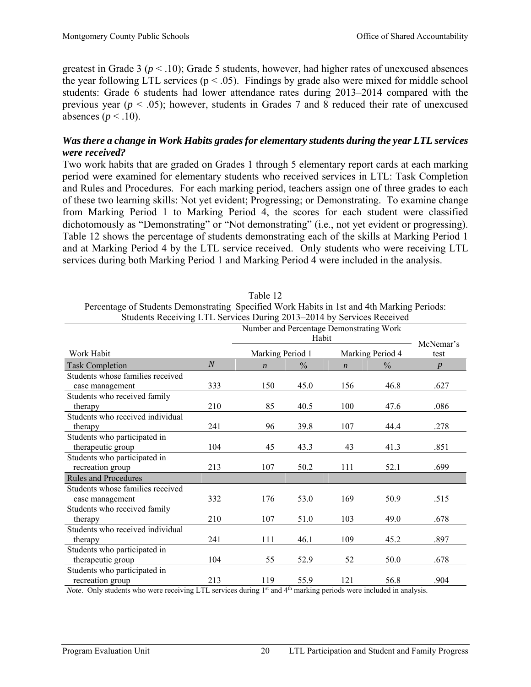greatest in Grade 3 ( $p < 0.10$ ); Grade 5 students, however, had higher rates of unexcused absences the year following LTL services ( $p < .05$ ). Findings by grade also were mixed for middle school students: Grade 6 students had lower attendance rates during 2013–2014 compared with the previous year ( $p < .05$ ); however, students in Grades 7 and 8 reduced their rate of unexcused absences ( $p < .10$ ).

## *Was there a change in Work Habits grades for elementary students during the year LTL services were received?*

Two work habits that are graded on Grades 1 through 5 elementary report cards at each marking period were examined for elementary students who received services in LTL: Task Completion and Rules and Procedures. For each marking period, teachers assign one of three grades to each of these two learning skills: Not yet evident; Progressing; or Demonstrating. To examine change from Marking Period 1 to Marking Period 4, the scores for each student were classified dichotomously as "Demonstrating" or "Not demonstrating" (i.e., not yet evident or progressing). Table 12 shows the percentage of students demonstrating each of the skills at Marking Period 1 and at Marking Period 4 by the LTL service received. Only students who were receiving LTL services during both Marking Period 1 and Marking Period 4 were included in the analysis.

| Students Receiving LTL Services During 2013–2014 by Services Received |                |                  |               |                  |                  |                  |  |  |  |
|-----------------------------------------------------------------------|----------------|------------------|---------------|------------------|------------------|------------------|--|--|--|
| Number and Percentage Demonstrating Work                              |                |                  |               |                  |                  |                  |  |  |  |
|                                                                       |                |                  | Habit         |                  |                  | McNemar's        |  |  |  |
| Work Habit                                                            |                | Marking Period 1 |               |                  | Marking Period 4 | test             |  |  |  |
| <b>Task Completion</b>                                                | $\overline{N}$ | $\boldsymbol{n}$ | $\frac{0}{0}$ | $\boldsymbol{n}$ | $\frac{0}{0}$    | $\boldsymbol{p}$ |  |  |  |
| Students whose families received                                      |                |                  |               |                  |                  |                  |  |  |  |
| case management                                                       | 333            | 150              | 45.0          | 156              | 46.8             | .627             |  |  |  |
| Students who received family                                          |                |                  |               |                  |                  |                  |  |  |  |
| therapy                                                               | 210            | 85               | 40.5          | 100              | 47.6             | .086             |  |  |  |
| Students who received individual                                      |                |                  |               |                  |                  |                  |  |  |  |
| therapy                                                               | 241            | 96               | 39.8          | 107              | 44.4             | .278             |  |  |  |
| Students who participated in                                          |                |                  |               |                  |                  |                  |  |  |  |
| therapeutic group                                                     | 104            | 45               | 43.3          | 43               | 41.3             | .851             |  |  |  |
| Students who participated in                                          |                |                  |               |                  |                  |                  |  |  |  |
| recreation group                                                      | 213            | 107              | 50.2          | 111              | 52.1             | .699             |  |  |  |
| <b>Rules and Procedures</b>                                           |                |                  |               |                  |                  |                  |  |  |  |
| Students whose families received                                      |                |                  |               |                  |                  |                  |  |  |  |
| case management                                                       | 332            | 176              | 53.0          | 169              | 50.9             | .515             |  |  |  |
| Students who received family                                          |                |                  |               |                  |                  |                  |  |  |  |
| therapy                                                               | 210            | 107              | 51.0          | 103              | 49.0             | .678             |  |  |  |
| Students who received individual                                      |                |                  |               |                  |                  |                  |  |  |  |
| therapy                                                               | 241            | 111              | 46.1          | 109              | 45.2             | .897             |  |  |  |
| Students who participated in                                          |                |                  |               |                  |                  |                  |  |  |  |
| therapeutic group                                                     | 104            | 55               | 52.9          | 52               | 50.0             | .678             |  |  |  |
| Students who participated in                                          |                |                  |               |                  |                  |                  |  |  |  |
| recreation group                                                      | 213            | 119              | 55.9          | 121              | 56.8             | .904             |  |  |  |

Table 12

Percentage of Students Demonstrating Specified Work Habits in 1st and 4th Marking Periods:

*Note*. Only students who were receiving LTL services during 1<sup>st</sup> and 4<sup>th</sup> marking periods were included in analysis.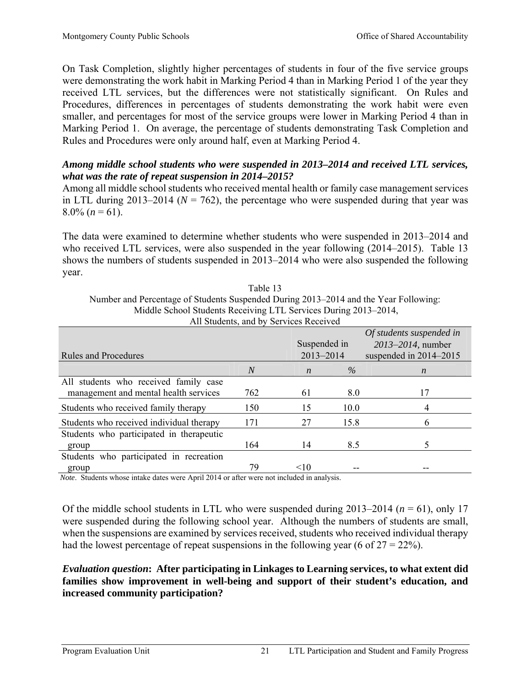On Task Completion, slightly higher percentages of students in four of the five service groups were demonstrating the work habit in Marking Period 4 than in Marking Period 1 of the year they received LTL services, but the differences were not statistically significant. On Rules and Procedures, differences in percentages of students demonstrating the work habit were even smaller, and percentages for most of the service groups were lower in Marking Period 4 than in Marking Period 1. On average, the percentage of students demonstrating Task Completion and Rules and Procedures were only around half, even at Marking Period 4.

# *Among middle school students who were suspended in 2013***–***2014 and received LTL services, what was the rate of repeat suspension in 2014***–***2015?*

Among all middle school students who received mental health or family case management services in LTL during 2013–2014 ( $N = 762$ ), the percentage who were suspended during that year was  $8.0\%$  (*n* = 61).

The data were examined to determine whether students who were suspended in 2013–2014 and who received LTL services, were also suspended in the year following (2014–2015). Table 13 shows the numbers of students suspended in 2013–2014 who were also suspended the following year.

| Middle School Students Receiving LTL Services During 2013–2014, |                |  |                  |      |                            |  |  |  |  |
|-----------------------------------------------------------------|----------------|--|------------------|------|----------------------------|--|--|--|--|
| All Students, and by Services Received                          |                |  |                  |      |                            |  |  |  |  |
|                                                                 |                |  |                  |      | Of students suspended in   |  |  |  |  |
|                                                                 |                |  | Suspended in     |      | 2013–2014, number          |  |  |  |  |
| <b>Rules and Procedures</b>                                     |                |  | 2013-2014        |      | suspended in $2014 - 2015$ |  |  |  |  |
|                                                                 | $\overline{N}$ |  | $\boldsymbol{n}$ | $\%$ | $\boldsymbol{n}$           |  |  |  |  |
| All students who received family case                           |                |  |                  |      |                            |  |  |  |  |
| management and mental health services                           | 762            |  | 61               | 8.0  | 17                         |  |  |  |  |
| Students who received family therapy                            | 150            |  | 15               | 10.0 | 4                          |  |  |  |  |
| Students who received individual therapy                        | 171            |  | 27               | 15.8 | 6                          |  |  |  |  |
| Students who participated in the rapeutic                       |                |  |                  |      |                            |  |  |  |  |
| group                                                           | 164            |  | 14               | 8.5  | 5                          |  |  |  |  |
| Students who participated in recreation                         |                |  |                  |      |                            |  |  |  |  |
| group                                                           | 79             |  | <10              |      |                            |  |  |  |  |

Number and Percentage of Students Suspended During 2013–2014 and the Year Following: Middle School Students Receiving LTL Services During 2013–2014,

Table 13

 *Note*. Students whose intake dates were April 2014 or after were not included in analysis.

Of the middle school students in LTL who were suspended during  $2013-2014$  ( $n = 61$ ), only 17 were suspended during the following school year. Although the numbers of students are small, when the suspensions are examined by services received, students who received individual therapy had the lowest percentage of repeat suspensions in the following year (6 of  $27 = 22\%$ ).

## *Evaluation question***: After participating in Linkages to Learning services, to what extent did families show improvement in well-being and support of their student's education, and increased community participation?**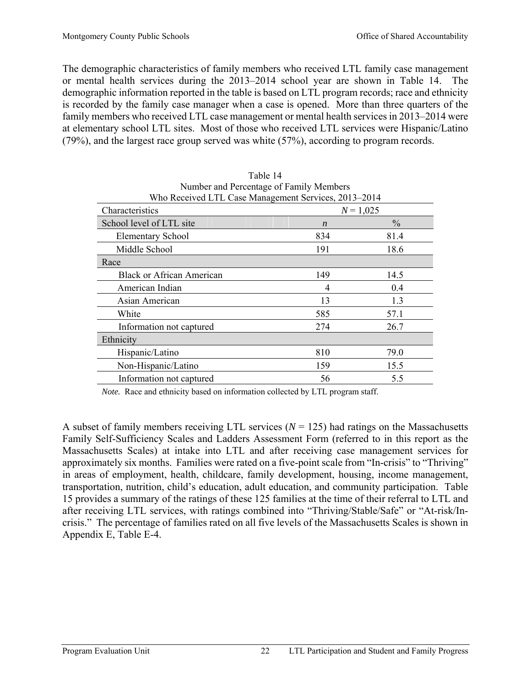The demographic characteristics of family members who received LTL family case management or mental health services during the 2013–2014 school year are shown in Table 14. The demographic information reported in the table is based on LTL program records; race and ethnicity is recorded by the family case manager when a case is opened. More than three quarters of the family members who received LTL case management or mental health services in 2013–2014 were at elementary school LTL sites. Most of those who received LTL services were Hispanic/Latino (79%), and the largest race group served was white (57%), according to program records.

Table 14

| Number and Percentage of Family Members              |                  |               |  |  |  |  |  |  |
|------------------------------------------------------|------------------|---------------|--|--|--|--|--|--|
| Who Received LTL Case Management Services, 2013–2014 |                  |               |  |  |  |  |  |  |
| Characteristics                                      |                  | $N = 1,025$   |  |  |  |  |  |  |
| School level of LTL site                             | $\boldsymbol{n}$ | $\frac{0}{0}$ |  |  |  |  |  |  |
| <b>Elementary School</b>                             | 834              | 81.4          |  |  |  |  |  |  |
| Middle School                                        | 191              | 18.6          |  |  |  |  |  |  |
| Race                                                 |                  |               |  |  |  |  |  |  |
| <b>Black or African American</b>                     | 149              | 14.5          |  |  |  |  |  |  |
| American Indian                                      | 4                | 0.4           |  |  |  |  |  |  |
| Asian American                                       | 13               | 1.3           |  |  |  |  |  |  |
| White                                                | 585              | 57.1          |  |  |  |  |  |  |
| Information not captured                             | 274              | 26.7          |  |  |  |  |  |  |
| Ethnicity                                            |                  |               |  |  |  |  |  |  |
| Hispanic/Latino                                      | 810              | 79.0          |  |  |  |  |  |  |
| Non-Hispanic/Latino                                  | 159              | 15.5          |  |  |  |  |  |  |
| Information not captured                             | 56               | 5.5           |  |  |  |  |  |  |

*Note.* Race and ethnicity based on information collected by LTL program staff.

A subset of family members receiving LTL services  $(N = 125)$  had ratings on the Massachusetts Family Self-Sufficiency Scales and Ladders Assessment Form (referred to in this report as the Massachusetts Scales) at intake into LTL and after receiving case management services for approximately six months. Families were rated on a five-point scale from "In-crisis" to "Thriving" in areas of employment, health, childcare, family development, housing, income management, transportation, nutrition, child's education, adult education, and community participation. Table 15 provides a summary of the ratings of these 125 families at the time of their referral to LTL and after receiving LTL services, with ratings combined into "Thriving/Stable/Safe" or "At-risk/Incrisis." The percentage of families rated on all five levels of the Massachusetts Scales is shown in Appendix E, Table E-4.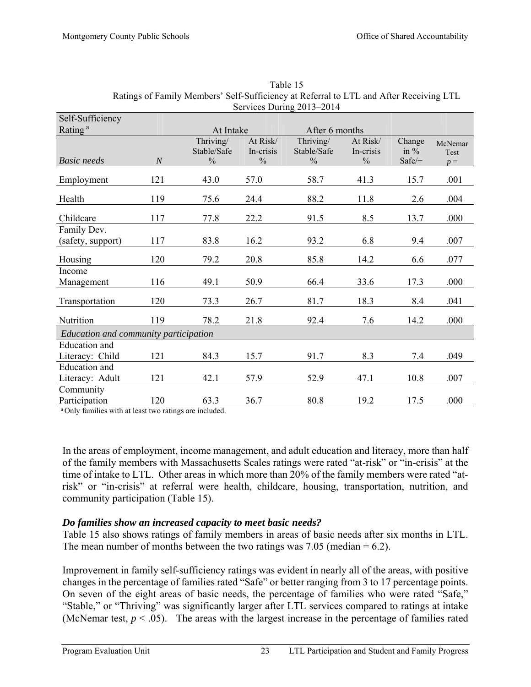| Self-Sufficiency                                                            |                  |                                           |                                        |                                           |                                        |                              |                 |
|-----------------------------------------------------------------------------|------------------|-------------------------------------------|----------------------------------------|-------------------------------------------|----------------------------------------|------------------------------|-----------------|
| Rating <sup>a</sup>                                                         |                  | At Intake                                 |                                        | After 6 months                            |                                        |                              |                 |
| <b>Basic</b> needs                                                          | $\boldsymbol{N}$ | Thriving/<br>Stable/Safe<br>$\frac{0}{0}$ | At Risk/<br>In-crisis<br>$\frac{0}{0}$ | Thriving/<br>Stable/Safe<br>$\frac{0}{0}$ | At Risk/<br>In-crisis<br>$\frac{0}{0}$ | Change<br>in $%$<br>$Safe/+$ | McNemar<br>Test |
|                                                                             |                  |                                           |                                        |                                           |                                        |                              | $p =$           |
| Employment                                                                  | 121              | 43.0                                      | 57.0                                   | 58.7                                      | 41.3                                   | 15.7                         | .001            |
| Health                                                                      | 119              | 75.6                                      | 24.4                                   | 88.2                                      | 11.8                                   | 2.6                          | .004            |
| Childcare                                                                   | 117              | 77.8                                      | 22.2                                   | 91.5                                      | 8.5                                    | 13.7                         | .000            |
| Family Dev.<br>(safety, support)                                            | 117              | 83.8                                      | 16.2                                   | 93.2                                      | 6.8                                    | 9.4                          | .007            |
| Housing                                                                     | 120              | 79.2                                      | 20.8                                   | 85.8                                      | 14.2                                   | 6.6                          | .077            |
| Income                                                                      |                  |                                           |                                        |                                           |                                        |                              |                 |
| Management                                                                  | 116              | 49.1                                      | 50.9                                   | 66.4                                      | 33.6                                   | 17.3                         | .000            |
| Transportation                                                              | 120              | 73.3                                      | 26.7                                   | 81.7                                      | 18.3                                   | 8.4                          | .041            |
| Nutrition                                                                   | 119              | 78.2                                      | 21.8                                   | 92.4                                      | 7.6                                    | 14.2                         | .000            |
| Education and community participation                                       |                  |                                           |                                        |                                           |                                        |                              |                 |
| <b>Education</b> and                                                        |                  |                                           |                                        |                                           |                                        |                              |                 |
| Literacy: Child                                                             | 121              | 84.3                                      | 15.7                                   | 91.7                                      | 8.3                                    | 7.4                          | .049            |
| <b>Education</b> and                                                        |                  |                                           |                                        |                                           |                                        |                              |                 |
| Literacy: Adult                                                             | 121              | 42.1                                      | 57.9                                   | 52.9                                      | 47.1                                   | 10.8                         | .007            |
| Community                                                                   |                  |                                           |                                        |                                           |                                        |                              |                 |
| Participation<br>8 Out of Court Line and the set to seek these motions of a | 120              | 63.3<br>المتعادل وبالمستدف                | 36.7                                   | 80.8                                      | 19.2                                   | 17.5                         | .000            |

| Table 15                                                                               |
|----------------------------------------------------------------------------------------|
| Ratings of Family Members' Self-Sufficiency at Referral to LTL and After Receiving LTL |
| Services During 2013–2014                                                              |

Only families with at least two ratings are included.

In the areas of employment, income management, and adult education and literacy, more than half of the family members with Massachusetts Scales ratings were rated "at-risk" or "in-crisis" at the time of intake to LTL. Other areas in which more than 20% of the family members were rated "atrisk" or "in-crisis" at referral were health, childcare, housing, transportation, nutrition, and community participation (Table 15).

## *Do families show an increased capacity to meet basic needs?*

Table 15 also shows ratings of family members in areas of basic needs after six months in LTL. The mean number of months between the two ratings was  $7.05$  (median  $= 6.2$ ).

Improvement in family self-sufficiency ratings was evident in nearly all of the areas, with positive changes in the percentage of families rated "Safe" or better ranging from 3 to 17 percentage points. On seven of the eight areas of basic needs, the percentage of families who were rated "Safe," "Stable," or "Thriving" was significantly larger after LTL services compared to ratings at intake (McNemar test,  $p < .05$ ). The areas with the largest increase in the percentage of families rated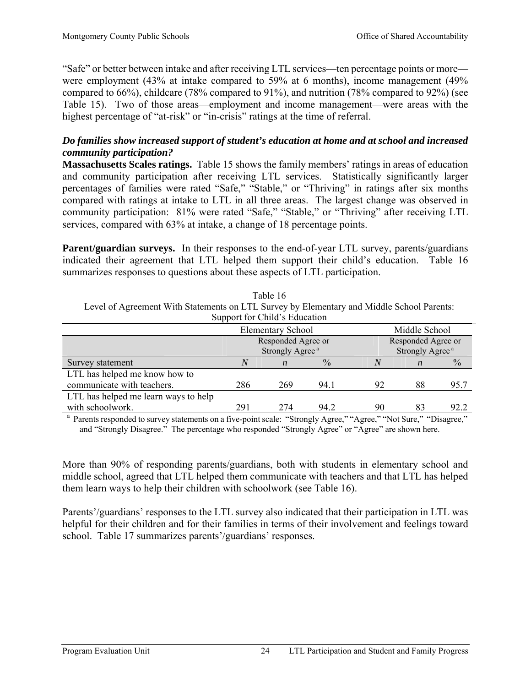"Safe" or better between intake and after receiving LTL services—ten percentage points or more were employment (43% at intake compared to 59% at 6 months), income management (49% compared to 66%), childcare (78% compared to 91%), and nutrition (78% compared to 92%) (see Table 15). Two of those areas—employment and income management—were areas with the highest percentage of "at-risk" or "in-crisis" ratings at the time of referral.

# *Do families show increased support of student's education at home and at school and increased community participation?*

**Massachusetts Scales ratings.** Table 15 shows the family members' ratings in areas of education and community participation after receiving LTL services. Statistically significantly larger percentages of families were rated "Safe," "Stable," or "Thriving" in ratings after six months compared with ratings at intake to LTL in all three areas. The largest change was observed in community participation: 81% were rated "Safe," "Stable," or "Thriving" after receiving LTL services, compared with 63% at intake, a change of 18 percentage points.

**Parent/guardian surveys.** In their responses to the end-of-year LTL survey, parents/guardians indicated their agreement that LTL helped them support their child's education. Table 16 summarizes responses to questions about these aspects of LTL participation.

| Level of Agreement With Statements on LTL Survey by Elementary and Middle School Parents: |                             |                  |               |                             |                  |               |  |  |  |
|-------------------------------------------------------------------------------------------|-----------------------------|------------------|---------------|-----------------------------|------------------|---------------|--|--|--|
| Support for Child's Education                                                             |                             |                  |               |                             |                  |               |  |  |  |
|                                                                                           | <b>Elementary School</b>    |                  | Middle School |                             |                  |               |  |  |  |
|                                                                                           | Responded Agree or          |                  |               | Responded Agree or          |                  |               |  |  |  |
|                                                                                           | Strongly Agree <sup>a</sup> |                  |               | Strongly Agree <sup>a</sup> |                  |               |  |  |  |
| Survey statement                                                                          | N                           | $\boldsymbol{n}$ | $\frac{0}{0}$ | N                           | $\boldsymbol{n}$ | $\frac{0}{0}$ |  |  |  |
| LTL has helped me know how to                                                             |                             |                  |               |                             |                  |               |  |  |  |
| communicate with teachers.                                                                | 286                         | 269              | 94.1          | 92                          | 88               | 95.7          |  |  |  |
| LTL has helped me learn ways to help                                                      |                             |                  |               |                             |                  |               |  |  |  |
| with schoolwork.                                                                          | 291                         | 274              | 94 2          | 90                          | 83               | 92.2          |  |  |  |

Table 16

<sup>a</sup> Parents responded to survey statements on a five-point scale: "Strongly Agree," "Agree," "Not Sure," "Disagree," and "Strongly Disagree." The percentage who responded "Strongly Agree" or "Agree" are shown here.

More than 90% of responding parents/guardians, both with students in elementary school and middle school, agreed that LTL helped them communicate with teachers and that LTL has helped them learn ways to help their children with schoolwork (see Table 16).

Parents'/guardians' responses to the LTL survey also indicated that their participation in LTL was helpful for their children and for their families in terms of their involvement and feelings toward school. Table 17 summarizes parents'/guardians' responses.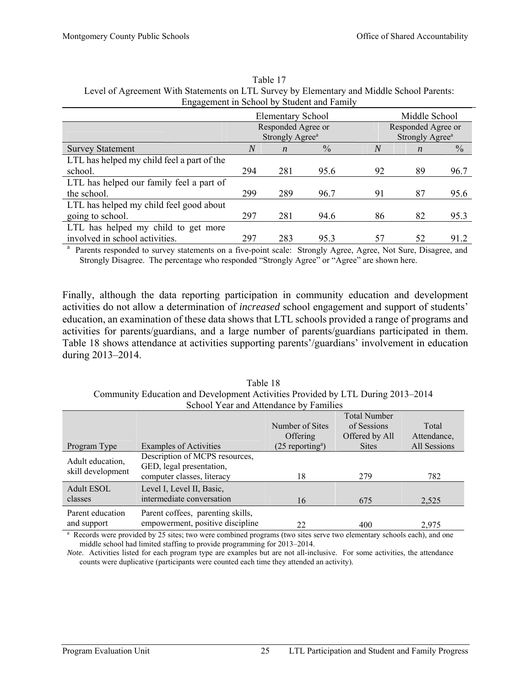|                                            | <b>Elementary School</b> |                             |               |                | Middle School               |               |  |
|--------------------------------------------|--------------------------|-----------------------------|---------------|----------------|-----------------------------|---------------|--|
|                                            | Responded Agree or       |                             |               |                | Responded Agree or          |               |  |
|                                            |                          | Strongly Agree <sup>a</sup> |               |                | Strongly Agree <sup>a</sup> |               |  |
| <b>Survey Statement</b>                    | $\overline{N}$           | $\boldsymbol{n}$            | $\frac{0}{0}$ | $\overline{N}$ | $\boldsymbol{n}$            | $\frac{0}{0}$ |  |
| LTL has helped my child feel a part of the |                          |                             |               |                |                             |               |  |
| school.                                    | 294                      | 281                         | 95.6          | 92             | 89                          | 96.7          |  |
| LTL has helped our family feel a part of   |                          |                             |               |                |                             |               |  |
| the school.                                | 299                      | 289                         | 96.7          | 91             | 87                          | 95.6          |  |
| LTL has helped my child feel good about    |                          |                             |               |                |                             |               |  |
| going to school.                           | 297                      | 281                         | 94.6          | 86             | 82                          | 95.3          |  |
| LTL has helped my child to get more        |                          |                             |               |                |                             |               |  |
| involved in school activities.             | 297                      | 283                         | 953           | 57             | 52                          | 912           |  |

Table 17 Level of Agreement With Statements on LTL Survey by Elementary and Middle School Parents: Engagement in School by Student and Family

<sup>a</sup> Parents responded to survey statements on a five-point scale: Strongly Agree, Agree, Not Sure, Disagree, and Strongly Disagree. The percentage who responded "Strongly Agree" or "Agree" are shown here.

Finally, although the data reporting participation in community education and development activities do not allow a determination of *increased* school engagement and support of students' education, an examination of these data shows that LTL schools provided a range of programs and activities for parents/guardians, and a large number of parents/guardians participated in them. Table 18 shows attendance at activities supporting parents'/guardians' involvement in education during 2013–2014.

Table 18 Community Education and Development Activities Provided by LTL During 2013–2014 School Year and Attendance by Families

|                                                                                                                                   |                                                            |                                | <b>Total Number</b> |              |  |  |  |
|-----------------------------------------------------------------------------------------------------------------------------------|------------------------------------------------------------|--------------------------------|---------------------|--------------|--|--|--|
|                                                                                                                                   |                                                            | Number of Sites                | of Sessions         | Total        |  |  |  |
|                                                                                                                                   |                                                            | <b>Offering</b>                | Offered by All      | Attendance,  |  |  |  |
| Program Type                                                                                                                      | <b>Examples of Activities</b>                              | $(25$ reporting <sup>a</sup> ) | <b>Sites</b>        | All Sessions |  |  |  |
| Adult education,                                                                                                                  | Description of MCPS resources,<br>GED, legal presentation, |                                |                     |              |  |  |  |
| skill development                                                                                                                 | computer classes, literacy                                 | 18                             | 279                 | 782          |  |  |  |
| Adult ESOL                                                                                                                        | Level I, Level II, Basic,                                  |                                |                     |              |  |  |  |
| classes                                                                                                                           | intermediate conversation                                  | 16                             | 675                 | 2,525        |  |  |  |
| Parent education                                                                                                                  | Parent coffees, parenting skills,                          |                                |                     |              |  |  |  |
| and support                                                                                                                       | empowerment, positive discipline                           | 22                             | 400                 | 2,975        |  |  |  |
| <sup>a</sup> Records were provided by 25 sites; two were combined programs (two sites serve two elementary schools each), and one |                                                            |                                |                     |              |  |  |  |

middle school had limited staffing to provide programming for 2013–2014.

*Note*. Activities listed for each program type are examples but are not all-inclusive. For some activities, the attendance counts were duplicative (participants were counted each time they attended an activity).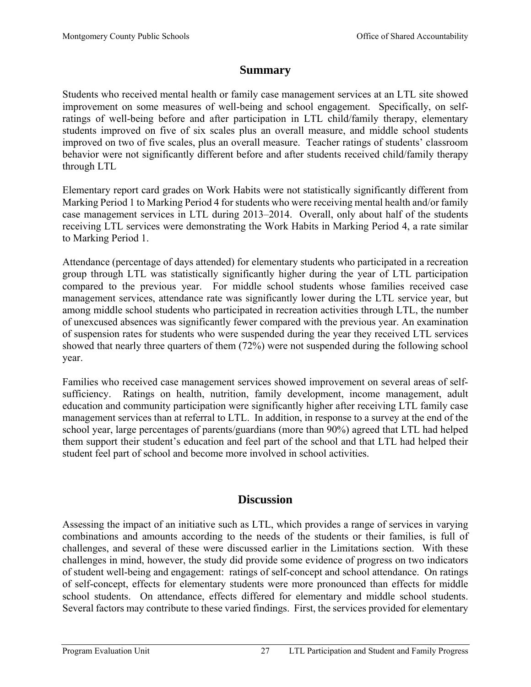# **Summary**

Students who received mental health or family case management services at an LTL site showed improvement on some measures of well-being and school engagement. Specifically, on selfratings of well-being before and after participation in LTL child/family therapy, elementary students improved on five of six scales plus an overall measure, and middle school students improved on two of five scales, plus an overall measure. Teacher ratings of students' classroom behavior were not significantly different before and after students received child/family therapy through LTL

Elementary report card grades on Work Habits were not statistically significantly different from Marking Period 1 to Marking Period 4 for students who were receiving mental health and/or family case management services in LTL during 2013–2014. Overall, only about half of the students receiving LTL services were demonstrating the Work Habits in Marking Period 4, a rate similar to Marking Period 1.

Attendance (percentage of days attended) for elementary students who participated in a recreation group through LTL was statistically significantly higher during the year of LTL participation compared to the previous year. For middle school students whose families received case management services, attendance rate was significantly lower during the LTL service year, but among middle school students who participated in recreation activities through LTL, the number of unexcused absences was significantly fewer compared with the previous year. An examination of suspension rates for students who were suspended during the year they received LTL services showed that nearly three quarters of them (72%) were not suspended during the following school year.

Families who received case management services showed improvement on several areas of selfsufficiency. Ratings on health, nutrition, family development, income management, adult education and community participation were significantly higher after receiving LTL family case management services than at referral to LTL. In addition, in response to a survey at the end of the school year, large percentages of parents/guardians (more than 90%) agreed that LTL had helped them support their student's education and feel part of the school and that LTL had helped their student feel part of school and become more involved in school activities.

# **Discussion**

Assessing the impact of an initiative such as LTL, which provides a range of services in varying combinations and amounts according to the needs of the students or their families, is full of challenges, and several of these were discussed earlier in the Limitations section. With these challenges in mind, however, the study did provide some evidence of progress on two indicators of student well-being and engagement: ratings of self-concept and school attendance. On ratings of self-concept, effects for elementary students were more pronounced than effects for middle school students. On attendance, effects differed for elementary and middle school students. Several factors may contribute to these varied findings. First, the services provided for elementary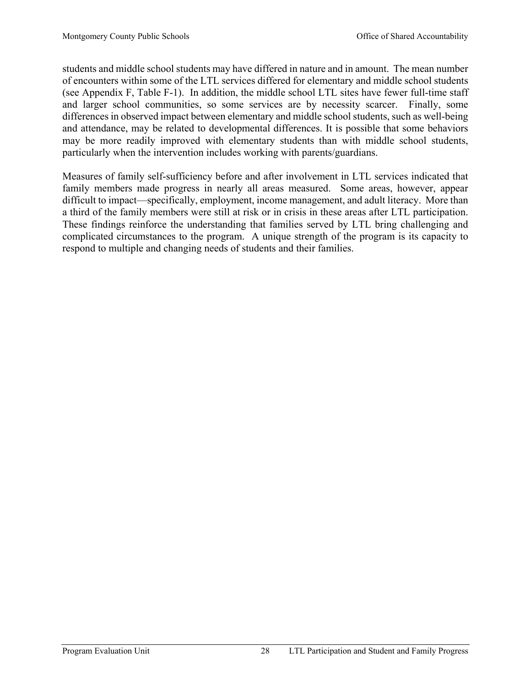students and middle school students may have differed in nature and in amount. The mean number of encounters within some of the LTL services differed for elementary and middle school students (see Appendix F, Table F-1). In addition, the middle school LTL sites have fewer full-time staff and larger school communities, so some services are by necessity scarcer. Finally, some differences in observed impact between elementary and middle school students, such as well-being and attendance, may be related to developmental differences. It is possible that some behaviors may be more readily improved with elementary students than with middle school students, particularly when the intervention includes working with parents/guardians.

Measures of family self-sufficiency before and after involvement in LTL services indicated that family members made progress in nearly all areas measured. Some areas, however, appear difficult to impact—specifically, employment, income management, and adult literacy. More than a third of the family members were still at risk or in crisis in these areas after LTL participation. These findings reinforce the understanding that families served by LTL bring challenging and complicated circumstances to the program. A unique strength of the program is its capacity to respond to multiple and changing needs of students and their families.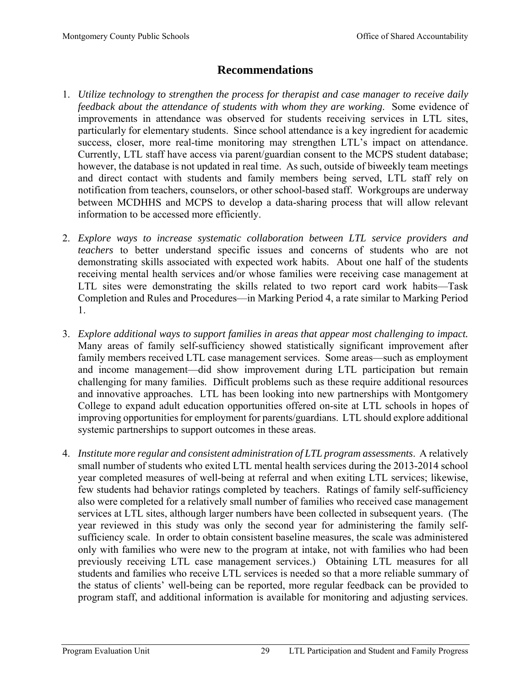# **Recommendations**

- 1. *Utilize technology to strengthen the process for therapist and case manager to receive daily feedback about the attendance of students with whom they are working*. Some evidence of improvements in attendance was observed for students receiving services in LTL sites, particularly for elementary students. Since school attendance is a key ingredient for academic success, closer, more real-time monitoring may strengthen LTL's impact on attendance. Currently, LTL staff have access via parent/guardian consent to the MCPS student database; however, the database is not updated in real time. As such, outside of biweekly team meetings and direct contact with students and family members being served, LTL staff rely on notification from teachers, counselors, or other school-based staff. Workgroups are underway between MCDHHS and MCPS to develop a data-sharing process that will allow relevant information to be accessed more efficiently.
- 2. *Explore ways to increase systematic collaboration between LTL service providers and teachers* to better understand specific issues and concerns of students who are not demonstrating skills associated with expected work habits. About one half of the students receiving mental health services and/or whose families were receiving case management at LTL sites were demonstrating the skills related to two report card work habits—Task Completion and Rules and Procedures—in Marking Period 4, a rate similar to Marking Period 1.
- 3. *Explore additional ways to support families in areas that appear most challenging to impact.* Many areas of family self-sufficiency showed statistically significant improvement after family members received LTL case management services. Some areas—such as employment and income management—did show improvement during LTL participation but remain challenging for many families. Difficult problems such as these require additional resources and innovative approaches. LTL has been looking into new partnerships with Montgomery College to expand adult education opportunities offered on-site at LTL schools in hopes of improving opportunities for employment for parents/guardians. LTL should explore additional systemic partnerships to support outcomes in these areas.
- 4. *Institute more regular and consistent administration of LTL program assessments*. A relatively small number of students who exited LTL mental health services during the 2013-2014 school year completed measures of well-being at referral and when exiting LTL services; likewise, few students had behavior ratings completed by teachers. Ratings of family self-sufficiency also were completed for a relatively small number of families who received case management services at LTL sites, although larger numbers have been collected in subsequent years. (The year reviewed in this study was only the second year for administering the family selfsufficiency scale. In order to obtain consistent baseline measures, the scale was administered only with families who were new to the program at intake, not with families who had been previously receiving LTL case management services.) Obtaining LTL measures for all students and families who receive LTL services is needed so that a more reliable summary of the status of clients' well-being can be reported, more regular feedback can be provided to program staff, and additional information is available for monitoring and adjusting services.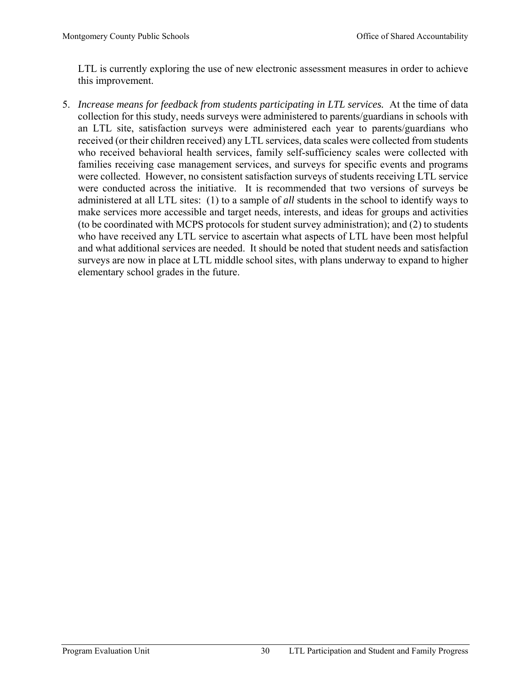LTL is currently exploring the use of new electronic assessment measures in order to achieve this improvement.

5. *Increase means for feedback from students participating in LTL services.* At the time of data collection for this study, needs surveys were administered to parents/guardians in schools with an LTL site, satisfaction surveys were administered each year to parents/guardians who received (or their children received) any LTL services, data scales were collected from students who received behavioral health services, family self-sufficiency scales were collected with families receiving case management services, and surveys for specific events and programs were collected. However, no consistent satisfaction surveys of students receiving LTL service were conducted across the initiative. It is recommended that two versions of surveys be administered at all LTL sites: (1) to a sample of *all* students in the school to identify ways to make services more accessible and target needs, interests, and ideas for groups and activities (to be coordinated with MCPS protocols for student survey administration); and (2) to students who have received any LTL service to ascertain what aspects of LTL have been most helpful and what additional services are needed. It should be noted that student needs and satisfaction surveys are now in place at LTL middle school sites, with plans underway to expand to higher elementary school grades in the future.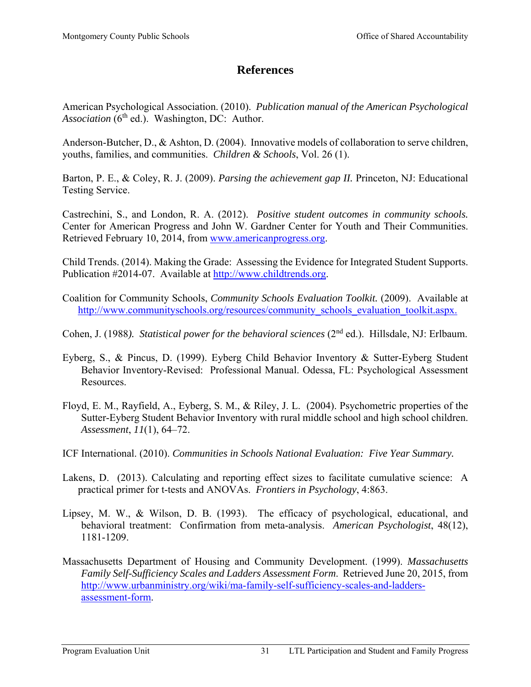# **References**

American Psychological Association. (2010). *Publication manual of the American Psychological Association* (6<sup>th</sup> ed.). Washington, DC: Author.

Anderson-Butcher, D., & Ashton, D. (2004). Innovative models of collaboration to serve children, youths, families, and communities. *Children & Schools*, Vol. 26 (1).

Barton, P. E., & Coley, R. J. (2009). *Parsing the achievement gap II.* Princeton, NJ: Educational Testing Service.

Castrechini, S., and London, R. A. (2012). *Positive student outcomes in community schools.* Center for American Progress and John W. Gardner Center for Youth and Their Communities. Retrieved February 10, 2014, from www.americanprogress.org.

Child Trends. (2014). Making the Grade: Assessing the Evidence for Integrated Student Supports. Publication #2014-07. Available at http://www.childtrends.org.

Coalition for Community Schools, *Community Schools Evaluation Toolkit.* (2009). Available at http://www.communityschools.org/resources/community\_schools\_evaluation\_toolkit.aspx.

Cohen, J. (1988). Statistical power for the behavioral sciences (2<sup>nd</sup> ed.). Hillsdale, NJ: Erlbaum.

- Eyberg, S., & Pincus, D. (1999). Eyberg Child Behavior Inventory & Sutter-Eyberg Student Behavior Inventory-Revised: Professional Manual. Odessa, FL: Psychological Assessment Resources.
- Floyd, E. M., Rayfield, A., Eyberg, S. M., & Riley, J. L. (2004). Psychometric properties of the Sutter-Eyberg Student Behavior Inventory with rural middle school and high school children. *Assessment*, *11*(1), 64–72.
- ICF International. (2010). *Communities in Schools National Evaluation: Five Year Summary.*
- Lakens, D. (2013). Calculating and reporting effect sizes to facilitate cumulative science: A practical primer for t-tests and ANOVAs. *Frontiers in Psychology*, 4:863.
- Lipsey, M. W., & Wilson, D. B. (1993). The efficacy of psychological, educational, and behavioral treatment: Confirmation from meta-analysis. *American Psychologist*, 48(12), 1181-1209.
- Massachusetts Department of Housing and Community Development. (1999). *Massachusetts Family Self-Sufficiency Scales and Ladders Assessment Form*. Retrieved June 20, 2015, from http://www.urbanministry.org/wiki/ma-family-self-sufficiency-scales-and-laddersassessment-form.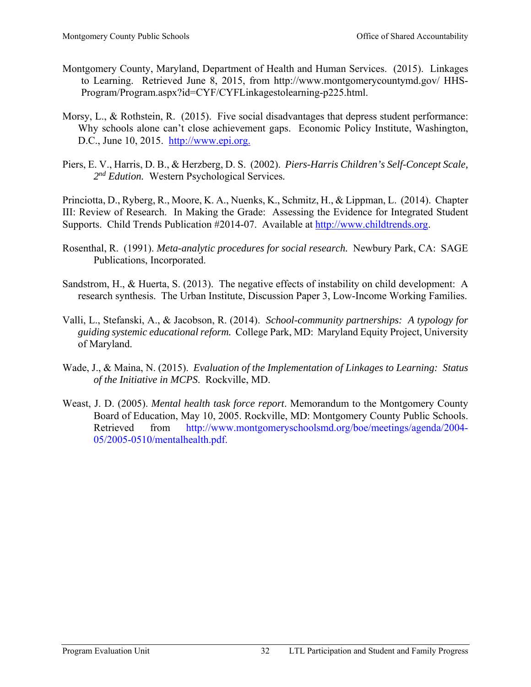- Montgomery County, Maryland, Department of Health and Human Services. (2015). Linkages to Learning. Retrieved June 8, 2015, from http://www.montgomerycountymd.gov/ HHS-Program/Program.aspx?id=CYF/CYFLinkagestolearning-p225.html.
- Morsy, L., & Rothstein, R. (2015). Five social disadvantages that depress student performance: Why schools alone can't close achievement gaps. Economic Policy Institute, Washington, D.C., June 10, 2015. http://www.epi.org.
- Piers, E. V., Harris, D. B., & Herzberg, D. S. (2002). *Piers-Harris Children's Self-Concept Scale, 2nd Edution.* Western Psychological Services*.*

Princiotta, D., Ryberg, R., Moore, K. A., Nuenks, K., Schmitz, H., & Lippman, L. (2014). Chapter III: Review of Research. In Making the Grade: Assessing the Evidence for Integrated Student Supports. Child Trends Publication #2014-07. Available at http://www.childtrends.org.

- Rosenthal, R. (1991). *Meta-analytic procedures for social research.* Newbury Park, CA: SAGE Publications, Incorporated.
- Sandstrom, H., & Huerta, S. (2013). The negative effects of instability on child development: A research synthesis. The Urban Institute, Discussion Paper 3, Low-Income Working Families.
- Valli, L., Stefanski, A., & Jacobson, R. (2014). *School-community partnerships: A typology for guiding systemic educational reform.* College Park, MD: Maryland Equity Project, University of Maryland.
- Wade, J., & Maina, N. (2015). *Evaluation of the Implementation of Linkages to Learning: Status of the Initiative in MCPS*. Rockville, MD.
- Weast, J. D. (2005). *Mental health task force report*. Memorandum to the Montgomery County Board of Education, May 10, 2005. Rockville, MD: Montgomery County Public Schools. Retrieved from http://www.montgomeryschoolsmd.org/boe/meetings/agenda/2004-05/2005-0510/mentalhealth.pdf.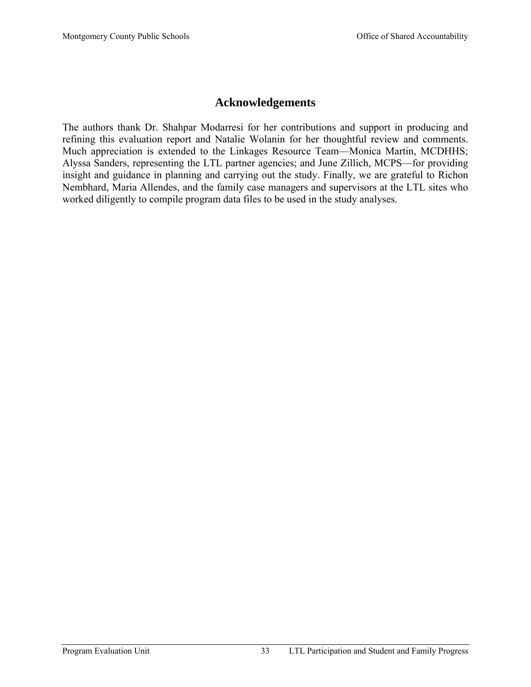# **Acknowledgements**

The authors thank Dr. Shahpar Modarresi for her contributions and support in producing and refining this evaluation report and Natalie Wolanin for her thoughtful review and comments. Much appreciation is extended to the Linkages Resource Team—Monica Martin, MCDHHS; Alyssa Sanders, representing the LTL partner agencies; and June Zillich, MCPS—for providing insight and guidance in planning and carrying out the study. Finally, we are grateful to Richon Nembhard, Maria Allendes, and the family case managers and supervisors at the LTL sites who worked diligently to compile program data files to be used in the study analyses.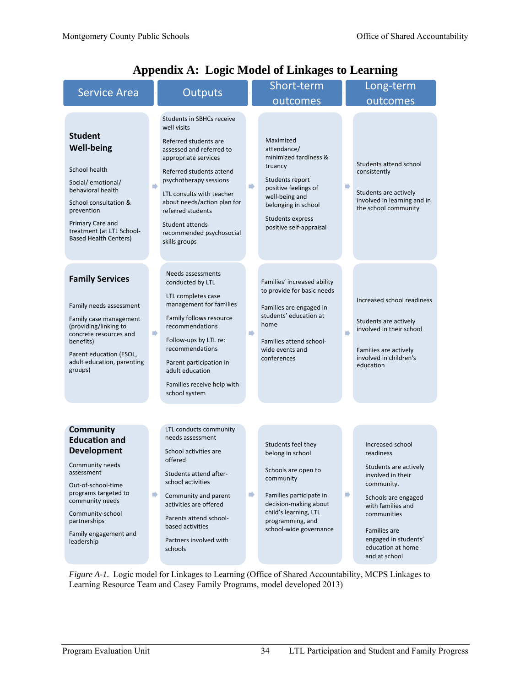| <b>Service Area</b>                                                                                                                                                                                                                         |    | <b>Outputs</b>                                                                                                                                                                                                                                                                                                                      |               | Short-term                                                                                                                                                                                            |                | Long-term                                                                                                                                                                                                                                 |  |  |
|---------------------------------------------------------------------------------------------------------------------------------------------------------------------------------------------------------------------------------------------|----|-------------------------------------------------------------------------------------------------------------------------------------------------------------------------------------------------------------------------------------------------------------------------------------------------------------------------------------|---------------|-------------------------------------------------------------------------------------------------------------------------------------------------------------------------------------------------------|----------------|-------------------------------------------------------------------------------------------------------------------------------------------------------------------------------------------------------------------------------------------|--|--|
|                                                                                                                                                                                                                                             |    |                                                                                                                                                                                                                                                                                                                                     |               | outcomes                                                                                                                                                                                              |                | outcomes                                                                                                                                                                                                                                  |  |  |
| <b>Student</b><br><b>Well-being</b><br>School health<br>Social/emotional/<br>behavioral health<br>School consultation &<br>prevention<br>Primary Care and<br>treatment (at LTL School-<br><b>Based Health Centers)</b>                      | n) | <b>Students in SBHCs receive</b><br>well visits<br>Referred students are<br>assessed and referred to<br>appropriate services<br>Referred students attend<br>psychotherapy sessions<br>LTL consults with teacher<br>about needs/action plan for<br>referred students<br>Student attends<br>recommended psychosocial<br>skills groups | ⋫             | Maximized<br>attendance/<br>minimized tardiness &<br>truancy<br>Students report<br>positive feelings of<br>well-being and<br>belonging in school<br>Students express<br>positive self-appraisal       | $\blacksquare$ | Students attend school<br>consistently<br>Students are actively<br>involved in learning and in<br>the school community                                                                                                                    |  |  |
| <b>Family Services</b><br>Family needs assessment<br>Family case management<br>(providing/linking to<br>concrete resources and<br>benefits)<br>Parent education (ESOL,<br>adult education, parenting<br>groups)                             | n) | Needs assessments<br>conducted by LTL<br>LTL completes case<br>management for families<br>Family follows resource<br>recommendations<br>Follow-ups by LTL re:<br>recommendations<br>Parent participation in<br>adult education<br>Families receive help with<br>school system                                                       | $\rightarrow$ | Families' increased ability<br>to provide for basic needs<br>Families are engaged in<br>students' education at<br>home<br>Families attend school-<br>wide events and<br>conferences                   | D              | Increased school readiness<br>Students are actively<br>involved in their school<br>Families are actively<br>involved in children's<br>education                                                                                           |  |  |
| <b>Community</b><br><b>Education and</b><br><b>Development</b><br>Community needs<br>assessment<br>Out-of-school-time<br>programs targeted to<br>community needs<br>Community-school<br>partnerships<br>Family engagement and<br>leadership | ▶  | LTL conducts community<br>needs assessment<br>School activities are<br>offered<br>Students attend after-<br>school activities<br>Community and parent<br>activities are offered<br>Parents attend school-<br>based activities<br>Partners involved with<br>schools                                                                  | ⋫             | Students feel they<br>belong in school<br>Schools are open to<br>community<br>Families participate in<br>decision-making about<br>child's learning, LTL<br>programming, and<br>school-wide governance | ⋫              | Increased school<br>readiness<br>Students are actively<br>involved in their<br>community.<br>Schools are engaged<br>with families and<br>communities<br><b>Families</b> are<br>engaged in students'<br>education at home<br>and at school |  |  |

# **Appendix A: Logic Model of Linkages to Learning**

Learning Resource Team and Casey Family Programs, model developed 2013) *Figure A-1.* Logic model for Linkages to Learning (Office of Shared Accountability, MCPS Linkages to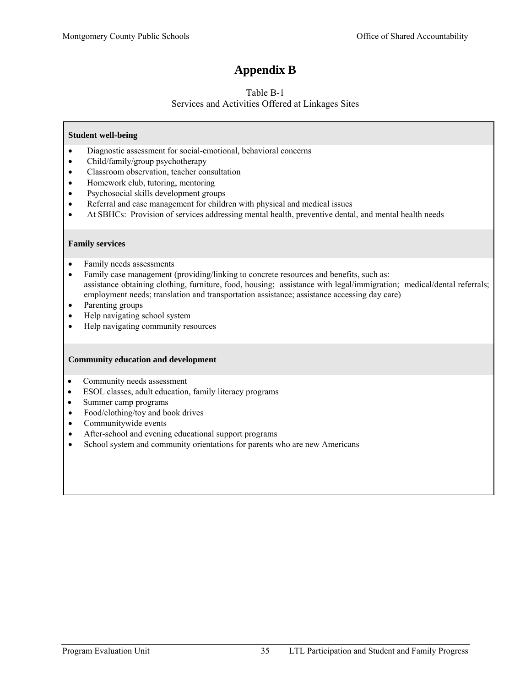# **Appendix B**

#### Table B-1 Services and Activities Offered at Linkages Sites

#### **Student well-being**

- Diagnostic assessment for social-emotional, behavioral concerns
- Child/family/group psychotherapy
- Classroom observation, teacher consultation
- Homework club, tutoring, mentoring
- Psychosocial skills development groups
- Referral and case management for children with physical and medical issues
- At SBHCs: Provision of services addressing mental health, preventive dental, and mental health needs

#### **Family services**

- Family needs assessments
- Family case management (providing/linking to concrete resources and benefits, such as: assistance obtaining clothing, furniture, food, housing; assistance with legal/immigration; medical/dental referrals; employment needs; translation and transportation assistance; assistance accessing day care)
- Parenting groups
- Help navigating school system
- Help navigating community resources

#### **Community education and development**

- Community needs assessment
- ESOL classes, adult education, family literacy programs
- Summer camp programs
- Food/clothing/toy and book drives
- Communitywide events
- After-school and evening educational support programs
- School system and community orientations for parents who are new Americans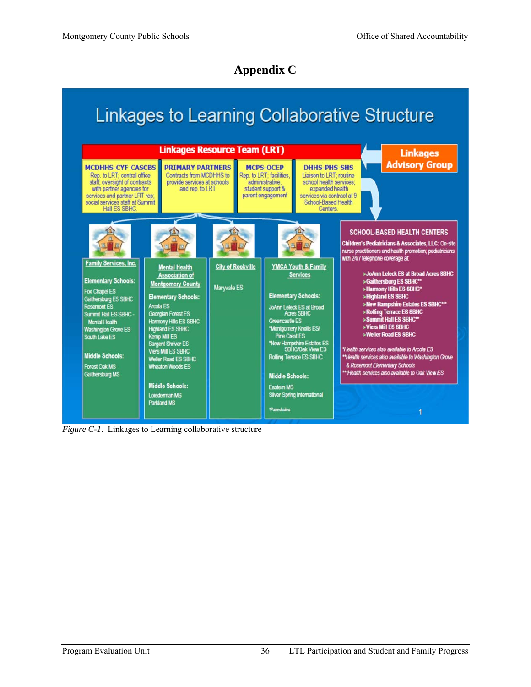# **Appendix C**

# **Linkages to Learning Collaborative Structure**



*Figure C-1*. Linkages to Learning collaborative structure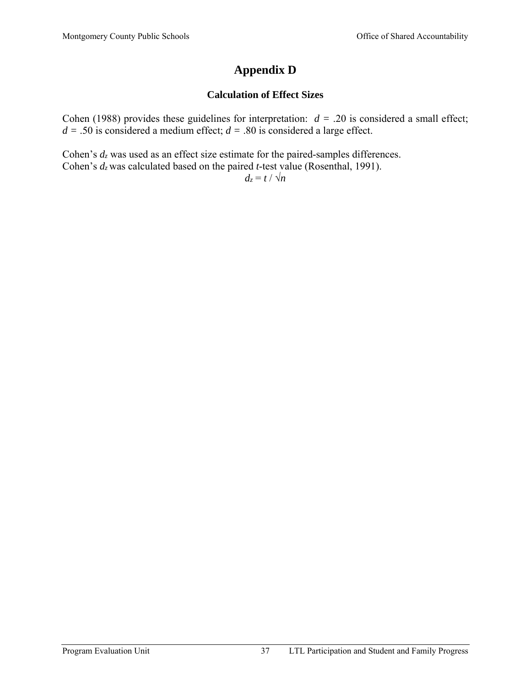# **Appendix D**

# **Calculation of Effect Sizes**

Cohen (1988) provides these guidelines for interpretation:  $d = .20$  is considered a small effect;  $d = .50$  is considered a medium effect;  $d = .80$  is considered a large effect.

Cohen's *dz* was used as an effect size estimate for the paired-samples differences. Cohen's *dz* was calculated based on the paired *t*-test value (Rosenthal, 1991).  $d_z = t / \sqrt{n}$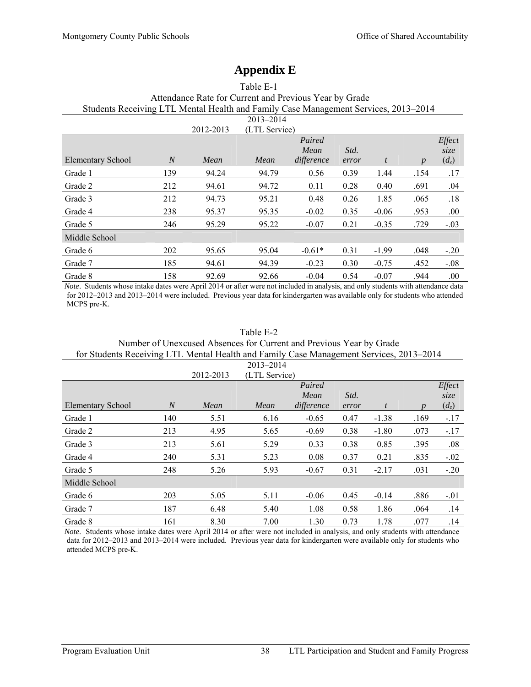# **Appendix E**

|                                                                                     |                |           | Table E-T     |            |       |         |      |         |  |
|-------------------------------------------------------------------------------------|----------------|-----------|---------------|------------|-------|---------|------|---------|--|
| Attendance Rate for Current and Previous Year by Grade                              |                |           |               |            |       |         |      |         |  |
| Students Receiving LTL Mental Health and Family Case Management Services, 2013–2014 |                |           |               |            |       |         |      |         |  |
|                                                                                     |                |           | $2013 - 2014$ |            |       |         |      |         |  |
|                                                                                     |                | 2012-2013 | (LTL Service) |            |       |         |      |         |  |
|                                                                                     |                |           |               | Paired     |       |         |      | Effect  |  |
|                                                                                     |                |           |               | Mean       | Std.  |         |      | size    |  |
| <b>Elementary School</b>                                                            | $\overline{N}$ | Mean      | Mean          | difference | error | t       |      | $(d_z)$ |  |
| Grade 1                                                                             | 139            | 94.24     | 94.79         | 0.56       | 0.39  | 1.44    | .154 | .17     |  |
| Grade 2                                                                             | 212            | 94.61     | 94.72         | 0.11       | 0.28  | 0.40    | .691 | .04     |  |
| Grade 3                                                                             | 212            | 94.73     | 95.21         | 0.48       | 0.26  | 1.85    | .065 | .18     |  |
| Grade 4                                                                             | 238            | 95.37     | 95.35         | $-0.02$    | 0.35  | $-0.06$ | .953 | .00.    |  |
| Grade 5                                                                             | 246            | 95.29     | 95.22         | $-0.07$    | 0.21  | $-0.35$ | .729 | $-.03$  |  |
| Middle School                                                                       |                |           |               |            |       |         |      |         |  |
| Grade 6                                                                             | 202            | 95.65     | 95.04         | $-0.61*$   | 0.31  | $-1.99$ | .048 | $-.20$  |  |
| Grade 7                                                                             | 185            | 94.61     | 94.39         | $-0.23$    | 0.30  | $-0.75$ | .452 | $-0.08$ |  |
| Grade 8                                                                             | 158            | 92.69     | 92.66         | $-0.04$    | 0.54  | $-0.07$ | .944 | .00     |  |

Table E-1

*Note*. Students whose intake dates were April 2014 or after were not included in analysis, and only students with attendance data for 2012–2013 and 2013–2014 were included. Previous year data for kindergarten was available only for students who attended MCPS pre-K.

| Number of Unexcused Absences for Current and Previous Year by Grade                     |                |           |               |            |       |         |      |         |  |
|-----------------------------------------------------------------------------------------|----------------|-----------|---------------|------------|-------|---------|------|---------|--|
| for Students Receiving LTL Mental Health and Family Case Management Services, 2013–2014 |                |           |               |            |       |         |      |         |  |
| $2013 - 2014$                                                                           |                |           |               |            |       |         |      |         |  |
|                                                                                         |                | 2012-2013 | (LTL Service) |            |       |         |      |         |  |
|                                                                                         |                |           |               | Paired     |       |         |      | Effect  |  |
|                                                                                         |                |           |               | Mean       | Std.  |         |      | size    |  |
| <b>Elementary School</b>                                                                | $\overline{N}$ | Mean      | Mean          | difference | error | t       |      | $(d_z)$ |  |
| Grade 1                                                                                 | 140            | 5.51      | 6.16          | $-0.65$    | 0.47  | $-1.38$ | .169 | $-.17$  |  |
| Grade 2                                                                                 | 213            | 4.95      | 5.65          | $-0.69$    | 0.38  | $-1.80$ | .073 | $-.17$  |  |
| Grade 3                                                                                 | 213            | 5.61      | 5.29          | 0.33       | 0.38  | 0.85    | .395 | .08     |  |
| Grade 4                                                                                 | 240            | 5.31      | 5.23          | 0.08       | 0.37  | 0.21    | .835 | $-.02$  |  |
| Grade 5                                                                                 | 248            | 5.26      | 5.93          | $-0.67$    | 0.31  | $-2.17$ | .031 | $-.20$  |  |
| Middle School                                                                           |                |           |               |            |       |         |      |         |  |
| Grade 6                                                                                 | 203            | 5.05      | 5.11          | $-0.06$    | 0.45  | $-0.14$ | .886 | $-.01$  |  |
| Grade 7                                                                                 | 187            | 6.48      | 5.40          | 1.08       | 0.58  | 1.86    | .064 | .14     |  |
| Grade 8                                                                                 | 161            | 8.30      | 7.00          | 1.30       | 0.73  | 1.78    | .077 | .14     |  |

Table E-2

*Note*. Students whose intake dates were April 2014 or after were not included in analysis, and only students with attendance data for 2012–2013 and 2013–2014 were included. Previous year data for kindergarten were available only for students who attended MCPS pre-K.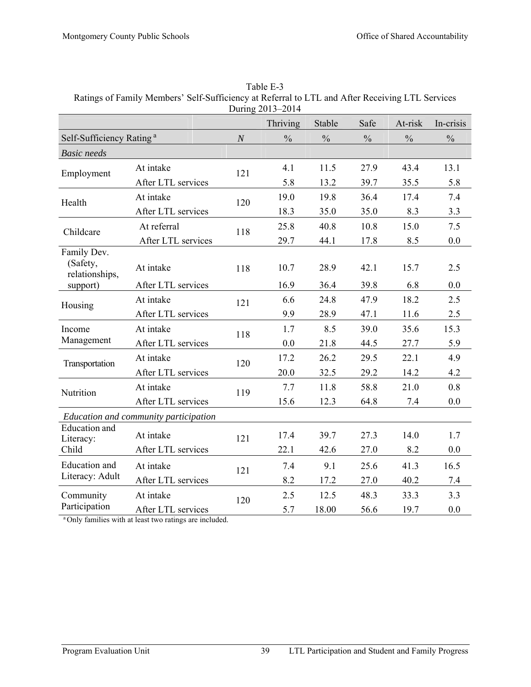| During 2013-2014                          |                                       |          |               |               |               |               |               |
|-------------------------------------------|---------------------------------------|----------|---------------|---------------|---------------|---------------|---------------|
|                                           |                                       |          | Thriving      | Stable        | Safe          | At-risk       | In-crisis     |
| Self-Sufficiency Rating <sup>a</sup>      |                                       | $\cal N$ | $\frac{0}{0}$ | $\frac{0}{0}$ | $\frac{0}{0}$ | $\frac{0}{0}$ | $\frac{0}{0}$ |
| <b>Basic</b> needs                        |                                       |          |               |               |               |               |               |
| Employment                                | At intake                             | 121      | 4.1           | 11.5          | 27.9          | 43.4          | 13.1          |
|                                           | After LTL services                    |          | 5.8           | 13.2          | 39.7          | 35.5          | 5.8           |
| Health                                    | At intake                             | 120      | 19.0          | 19.8          | 36.4          | 17.4          | 7.4           |
|                                           | After LTL services                    |          | 18.3          | 35.0          | 35.0          | 8.3           | 3.3           |
| Childcare                                 | At referral                           | 118      | 25.8          | 40.8          | 10.8          | 15.0          | 7.5           |
|                                           | After LTL services                    |          | 29.7          | 44.1          | 17.8          | 8.5           | 0.0           |
| Family Dev.<br>(Safety,<br>relationships, | At intake                             | 118      | 10.7          | 28.9          | 42.1          | 15.7          | 2.5           |
| support)                                  | After LTL services                    |          | 16.9          | 36.4          | 39.8          | 6.8           | 0.0           |
| Housing                                   | At intake                             | 121      | 6.6           | 24.8          | 47.9          | 18.2          | 2.5           |
|                                           | After LTL services                    |          | 9.9           | 28.9          | 47.1          | 11.6          | 2.5           |
| Income                                    | At intake                             | 118      | 1.7           | 8.5           | 39.0          | 35.6          | 15.3          |
| Management                                | After LTL services                    |          | 0.0           | 21.8          | 44.5          | 27.7          | 5.9           |
| Transportation                            | At intake                             | 120      | 17.2          | 26.2          | 29.5          | 22.1          | 4.9           |
|                                           | After LTL services                    |          | 20.0          | 32.5          | 29.2          | 14.2          | 4.2           |
| Nutrition                                 | At intake                             | 119      | 7.7           | 11.8          | 58.8          | 21.0          | 0.8           |
|                                           | After LTL services                    |          | 15.6          | 12.3          | 64.8          | 7.4           | 0.0           |
|                                           | Education and community participation |          |               |               |               |               |               |
| <b>Education</b> and<br>Literacy:         | At intake                             | 121      | 17.4          | 39.7          | 27.3          | 14.0          | 1.7           |
| Child                                     | After LTL services                    |          | 22.1          | 42.6          | 27.0          | 8.2           | 0.0           |
| Education and                             | At intake                             | 121      | 7.4           | 9.1           | 25.6          | 41.3          | 16.5          |
| Literacy: Adult                           | After LTL services                    |          | 8.2           | 17.2          | 27.0          | 40.2          | 7.4           |
| Community                                 | At intake                             | 120      | 2.5           | 12.5          | 48.3          | 33.3          | 3.3           |
| Participation                             | After LTL services                    |          | 5.7           | 18.00         | 56.6          | 19.7          | 0.0           |

Table E-3 Ratings of Family Members' Self-Sufficiency at Referral to LTL and After Receiving LTL Services

<sup>a</sup> Only families with at least two ratings are included.